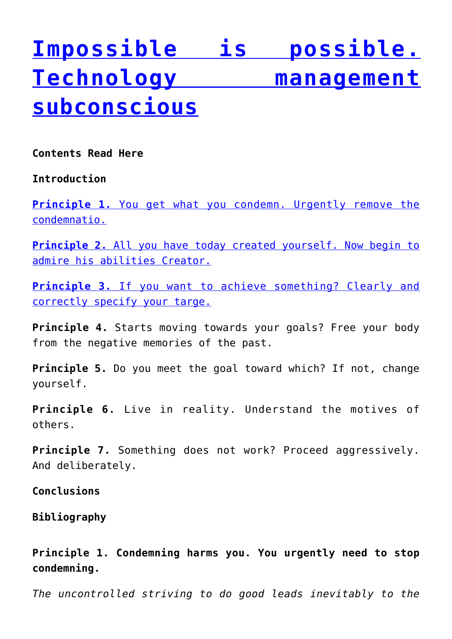# **[Impossible is possible.](https://sviyash.org/books/impossible-is-possible-technology-management-subconscious/) [Technology management](https://sviyash.org/books/impossible-is-possible-technology-management-subconscious/) [subconscious](https://sviyash.org/books/impossible-is-possible-technology-management-subconscious/)**

**Contents Read Here**

**Introduction**

**[Principle 1.](http://sviyash.org/books/impossible-is-possible-technology-management-subconscious/2/)** [You get what you condemn. Urgently remove the](http://sviyash.org/books/impossible-is-possible-technology-management-subconscious/2/) [condemnatio.](http://sviyash.org/books/impossible-is-possible-technology-management-subconscious/2/)

**[Principle 2.](http://sviyash.org/books/impossible-is-possible-technology-management-subconscious/3/)** [All you have today created yourself. Now begin to](http://sviyash.org/books/impossible-is-possible-technology-management-subconscious/3/) [admire his abilities Creator.](http://sviyash.org/books/impossible-is-possible-technology-management-subconscious/3/)

**[Principle 3.](http://sviyash.org/books/impossible-is-possible-technology-management-subconscious/4/)** [If you want to achieve something? Clearly and](http://sviyash.org/books/impossible-is-possible-technology-management-subconscious/4/) [correctly specify your targe.](http://sviyash.org/books/impossible-is-possible-technology-management-subconscious/4/)

**Principle 4.** Starts moving towards your goals? Free your body from the negative memories of the past.

**Principle 5.** Do you meet the goal toward which? If not, change yourself.

**Principle 6.** Live in reality. Understand the motives of others.

**Principle 7.** Something does not work? Proceed aggressively. And deliberately.

**Conclusions**

**Bibliography**

**Principle 1. Condemning harms you. You urgently need to stop condemning.**

*The uncontrolled striving to do good leads inevitably to the*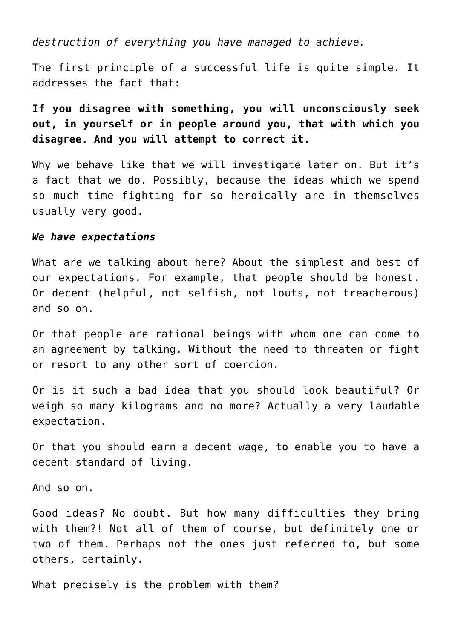*destruction of everything you have managed to achieve.*

The first principle of a successful life is quite simple. It addresses the fact that:

**If you disagree with something, you will unconsciously seek out, in yourself or in people around you, that with which you disagree. And you will attempt to correct it.**

Why we behave like that we will investigate later on. But it's a fact that we do. Possibly, because the ideas which we spend so much time fighting for so heroically are in themselves usually very good.

#### *We have expectations*

What are we talking about here? About the simplest and best of our expectations. For example, that people should be honest. Or decent (helpful, not selfish, not louts, not treacherous) and so on.

Or that people are rational beings with whom one can come to an agreement by talking. Without the need to threaten or fight or resort to any other sort of coercion.

Or is it such a bad idea that you should look beautiful? Or weigh so many kilograms and no more? Actually a very laudable expectation.

Or that you should earn a decent wage, to enable you to have a decent standard of living.

And so on.

Good ideas? No doubt. But how many difficulties they bring with them?! Not all of them of course, but definitely one or two of them. Perhaps not the ones just referred to, but some others, certainly.

What precisely is the problem with them?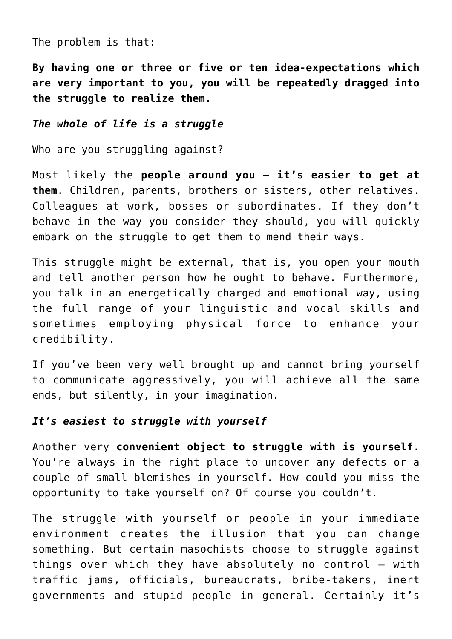The problem is that:

**By having one or three or five or ten idea-expectations which are very important to you, you will be repeatedly dragged into the struggle to realize them.**

# *The whole of life is a struggle*

Who are you struggling against?

Most likely the **people around you – it's easier to get at them**. Children, parents, brothers or sisters, other relatives. Colleagues at work, bosses or subordinates. If they don't behave in the way you consider they should, you will quickly embark on the struggle to get them to mend their ways.

This struggle might be external, that is, you open your mouth and tell another person how he ought to behave. Furthermore, you talk in an energetically charged and emotional way, using the full range of your linguistic and vocal skills and sometimes employing physical force to enhance your credibility.

If you've been very well brought up and cannot bring yourself to communicate aggressively, you will achieve all the same ends, but silently, in your imagination.

# *It's easiest to struggle with yourself*

Another very **convenient object to struggle with is yourself.** You're always in the right place to uncover any defects or a couple of small blemishes in yourself. How could you miss the opportunity to take yourself on? Of course you couldn't.

The struggle with yourself or people in your immediate environment creates the illusion that you can change something. But certain masochists choose to struggle against things over which they have absolutely no control – with traffic jams, officials, bureaucrats, bribe-takers, inert governments and stupid people in general. Certainly it's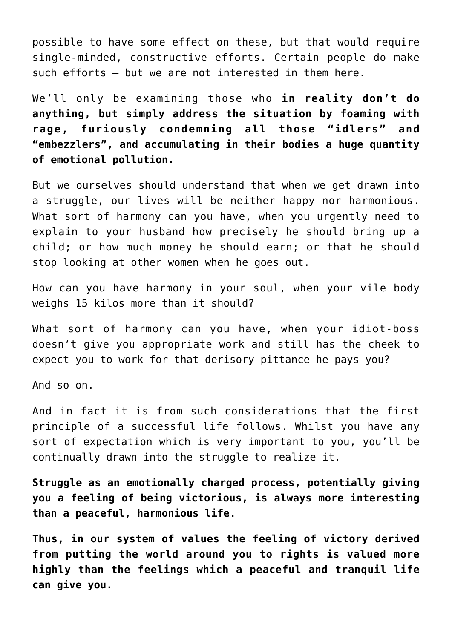possible to have some effect on these, but that would require single-minded, constructive efforts. Certain people do make such efforts – but we are not interested in them here.

We'll only be examining those who **in reality don't do anything, but simply address the situation by foaming with rage, furiously condemning all those "idlers" and "embezzlers", and accumulating in their bodies a huge quantity of emotional pollution.**

But we ourselves should understand that when we get drawn into a struggle, our lives will be neither happy nor harmonious. What sort of harmony can you have, when you urgently need to explain to your husband how precisely he should bring up a child; or how much money he should earn; or that he should stop looking at other women when he goes out.

How can you have harmony in your soul, when your vile body weighs 15 kilos more than it should?

What sort of harmony can you have, when your idiot-boss doesn't give you appropriate work and still has the cheek to expect you to work for that derisory pittance he pays you?

And so on.

And in fact it is from such considerations that the first principle of a successful life follows. Whilst you have any sort of expectation which is very important to you, you'll be continually drawn into the struggle to realize it.

**Struggle as an emotionally charged process, potentially giving you a feeling of being victorious, is always more interesting than a peaceful, harmonious life.**

**Thus, in our system of values the feeling of victory derived from putting the world around you to rights is valued more highly than the feelings which a peaceful and tranquil life can give you.**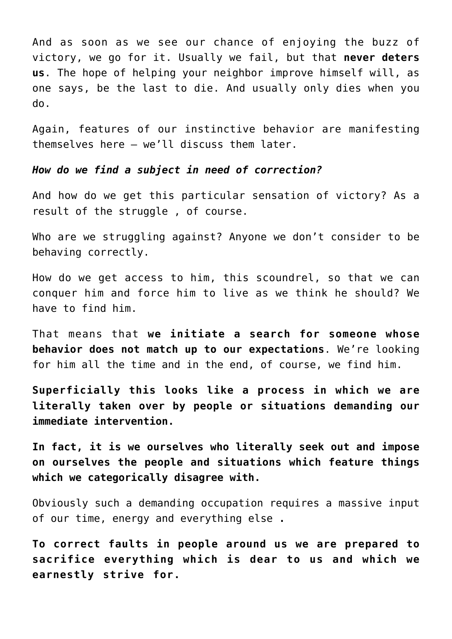And as soon as we see our chance of enjoying the buzz of victory, we go for it. Usually we fail, but that **never deters us**. The hope of helping your neighbor improve himself will, as one says, be the last to die. And usually only dies when you do.

Again, features of our instinctive behavior are manifesting themselves here – we'll discuss them later.

*How do we find a subject in need of correction?*

And how do we get this particular sensation of victory? As a result of the struggle , of course.

Who are we struggling against? Anyone we don't consider to be behaving correctly.

How do we get access to him, this scoundrel, so that we can conquer him and force him to live as we think he should? We have to find him.

That means that **we initiate a search for someone whose behavior does not match up to our expectations**. We're looking for him all the time and in the end, of course, we find him.

**Superficially this looks like a process in which we are literally taken over by people or situations demanding our immediate intervention.**

**In fact, it is we ourselves who literally seek out and impose on ourselves the people and situations which feature things which we categorically disagree with.**

Obviously such a demanding occupation requires a massive input of our time, energy and everything else **.**

**To correct faults in people around us we are prepared to sacrifice everything which is dear to us and which we earnestly strive for.**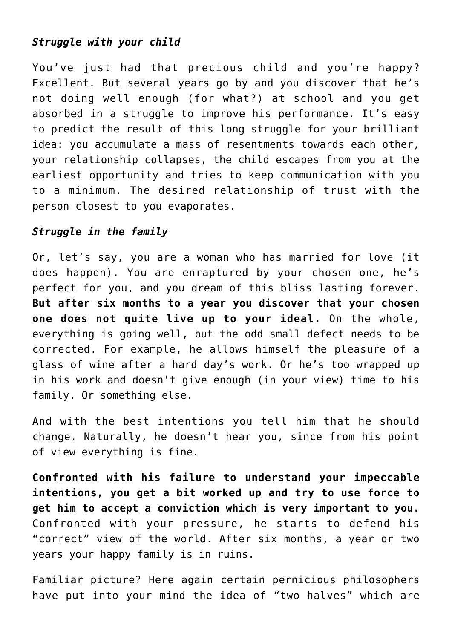# *Struggle with your child*

You've just had that precious child and you're happy? Excellent. But several years go by and you discover that he's not doing well enough (for what?) at school and you get absorbed in a struggle to improve his performance. It's easy to predict the result of this long struggle for your brilliant idea: you accumulate a mass of resentments towards each other, your relationship collapses, the child escapes from you at the earliest opportunity and tries to keep communication with you to a minimum. The desired relationship of trust with the person closest to you evaporates.

# *Struggle in the family*

Or, let's say, you are a woman who has married for love (it does happen). You are enraptured by your chosen one, he's perfect for you, and you dream of this bliss lasting forever. **But after six months to a year you discover that your chosen one does not quite live up to your ideal.** On the whole, everything is going well, but the odd small defect needs to be corrected. For example, he allows himself the pleasure of a glass of wine after a hard day's work. Or he's too wrapped up in his work and doesn't give enough (in your view) time to his family. Or something else.

And with the best intentions you tell him that he should change. Naturally, he doesn't hear you, since from his point of view everything is fine.

**Confronted with his failure to understand your impeccable intentions, you get a bit worked up and try to use force to get him to accept a conviction which is very important to you.** Confronted with your pressure, he starts to defend his "correct" view of the world. After six months, a year or two years your happy family is in ruins.

Familiar picture? Here again certain pernicious philosophers have put into your mind the idea of "two halves" which are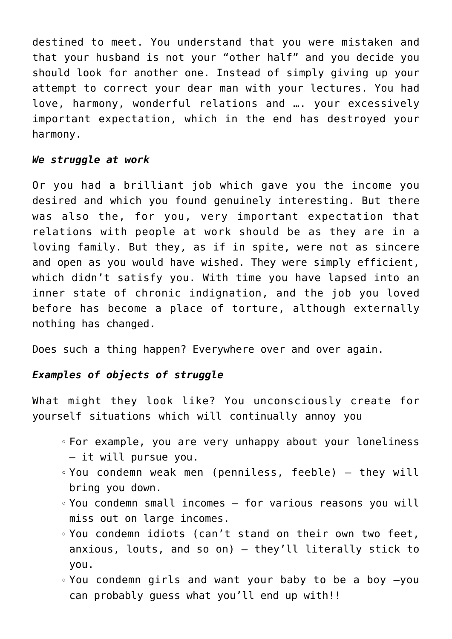destined to meet. You understand that you were mistaken and that your husband is not your "other half" and you decide you should look for another one. Instead of simply giving up your attempt to correct your dear man with your lectures. You had love, harmony, wonderful relations and …. your excessively important expectation, which in the end has destroyed your harmony.

# *We struggle at work*

Or you had a brilliant job which gave you the income you desired and which you found genuinely interesting. But there was also the, for you, very important expectation that relations with people at work should be as they are in a loving family. But they, as if in spite, were not as sincere and open as you would have wished. They were simply efficient, which didn't satisfy you. With time you have lapsed into an inner state of chronic indignation, and the job you loved before has become a place of torture, although externally nothing has changed.

Does such a thing happen? Everywhere over and over again.

# *Examples of objects of struggle*

What might they look like? You unconsciously create for yourself situations which will continually annoy you

- For example, you are very unhappy about your loneliness – it will pursue you.
- You condemn weak men (penniless, feeble) they will bring you down.
- You condemn small incomes for various reasons you will miss out on large incomes.
- You condemn idiots (can't stand on their own two feet, anxious, louts, and so on) – they'll literally stick to you.
- You condemn girls and want your baby to be a boy –you can probably guess what you'll end up with!!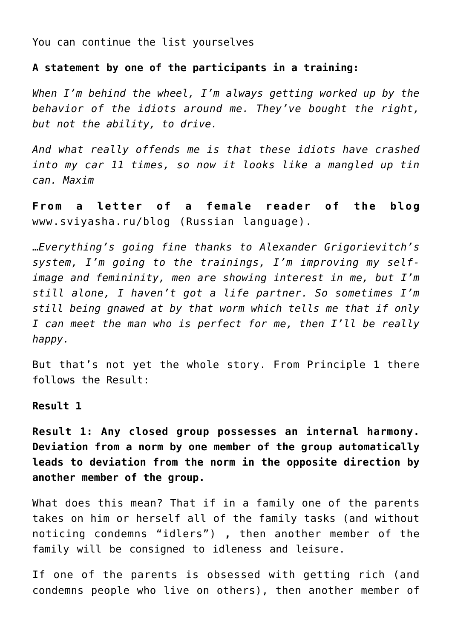You can continue the list yourselves

**A statement by one of the participants in a training:**

*When I'm behind the wheel, I'm always getting worked up by the behavior of the idiots around me. They've bought the right, but not the ability, to drive.*

*And what really offends me is that these idiots have crashed into my car 11 times, so now it looks like a mangled up tin can. Maxim*

**From a letter of a female reader of the blog** www.sviyasha.ru/blog (Russian language).

…*Everything's going fine thanks to Alexander Grigorievitch's system, I'm going to the trainings, I'm improving my selfimage and femininity, men are showing interest in me, but I'm still alone, I haven't got a life partner. So sometimes I'm still being gnawed at by that worm which tells me that if only I can meet the man who is perfect for me, then I'll be really happy.*

But that's not yet the whole story. From Principle 1 there follows the Result:

**Result 1**

**Result 1: Any closed group possesses an internal harmony. Deviation from a norm by one member of the group automatically leads to deviation from the norm in the opposite direction by another member of the group.**

What does this mean? That if in a family one of the parents takes on him or herself all of the family tasks (and without noticing condemns "idlers") **,** then another member of the family will be consigned to idleness and leisure.

If one of the parents is obsessed with getting rich (and condemns people who live on others), then another member of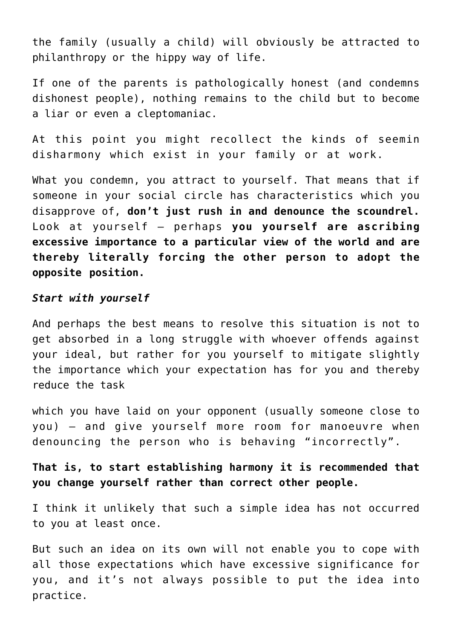the family (usually a child) will obviously be attracted to philanthropy or the hippy way of life.

If one of the parents is pathologically honest (and condemns dishonest people), nothing remains to the child but to become a liar or even a cleptomaniac.

At this point you might recollect the kinds of seemin disharmony which exist in your family or at work.

What you condemn, you attract to yourself. That means that if someone in your social circle has characteristics which you disapprove of, **don't just rush in and denounce the scoundrel.** Look at yourself – perhaps **you yourself are ascribing excessive importance to a particular view of the world and are thereby literally forcing the other person to adopt the opposite position.**

# *Start with yourself*

And perhaps the best means to resolve this situation is not to get absorbed in a long struggle with whoever offends against your ideal, but rather for you yourself to mitigate slightly the importance which your expectation has for you and thereby reduce the task

which you have laid on your opponent (usually someone close to you) – and give yourself more room for manoeuvre when denouncing the person who is behaving "incorrectly".

**That is, to start establishing harmony it is recommended that you change yourself rather than correct other people.**

I think it unlikely that such a simple idea has not occurred to you at least once.

But such an idea on its own will not enable you to cope with all those expectations which have excessive significance for you, and it's not always possible to put the idea into practice.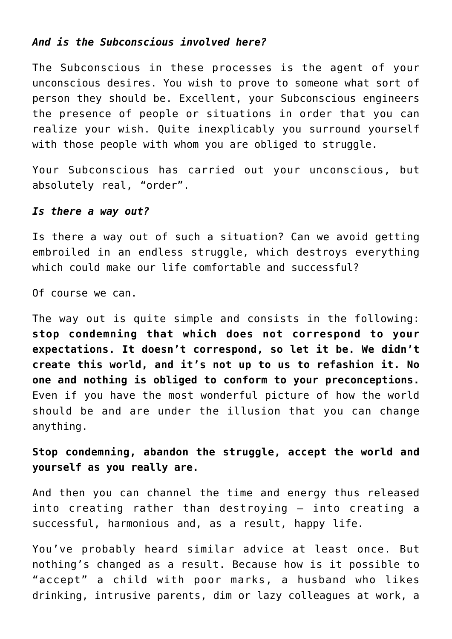# *And is the Subconscious involved here?*

The Subconscious in these processes is the agent of your unconscious desires. You wish to prove to someone what sort of person they should be. Excellent, your Subconscious engineers the presence of people or situations in order that you can realize your wish. Quite inexplicably you surround yourself with those people with whom you are obliged to struggle.

Your Subconscious has carried out your unconscious, but absolutely real, "order".

### *Is there a way out?*

Is there a way out of such a situation? Can we avoid getting embroiled in an endless struggle, which destroys everything which could make our life comfortable and successful?

Of course we can.

The way out is quite simple and consists in the following: **stop condemning that which does not correspond to your expectations. It doesn't correspond, so let it be. We didn't create this world, and it's not up to us to refashion it. No one and nothing is obliged to conform to your preconceptions.** Even if you have the most wonderful picture of how the world should be and are under the illusion that you can change anything.

**Stop condemning, abandon the struggle, accept the world and yourself as you really are.**

And then you can channel the time and energy thus released into creating rather than destroying – into creating a successful, harmonious and, as a result, happy life.

You've probably heard similar advice at least once. But nothing's changed as a result. Because how is it possible to "accept" a child with poor marks, a husband who likes drinking, intrusive parents, dim or lazy colleagues at work, a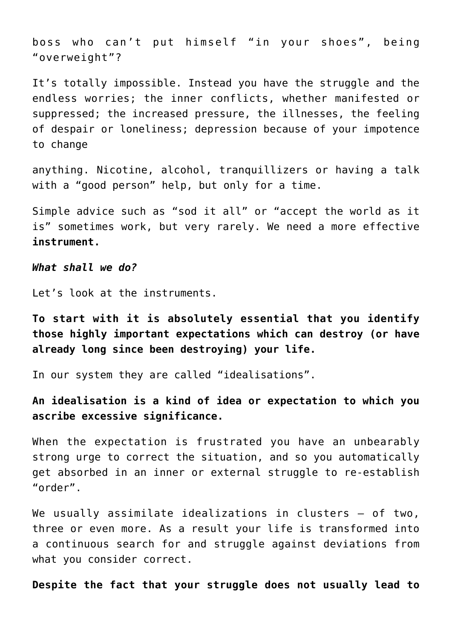boss who can't put himself "in your shoes", being "overweight"?

It's totally impossible. Instead you have the struggle and the endless worries; the inner conflicts, whether manifested or suppressed; the increased pressure, the illnesses, the feeling of despair or loneliness; depression because of your impotence to change

anything. Nicotine, alcohol, tranquillizers or having a talk with a "good person" help, but only for a time.

Simple advice such as "sod it all" or "accept the world as it is" sometimes work, but very rarely. We need a more effective **instrument.**

*What shall we do?*

Let's look at the instruments.

**To start with it is absolutely essential that you identify those highly important expectations which can destroy (or have already long since been destroying) your life.**

In our system they are called "idealisations".

**An idealisation is a kind of idea or expectation to which you ascribe excessive significance.**

When the expectation is frustrated you have an unbearably strong urge to correct the situation, and so you automatically get absorbed in an inner or external struggle to re-establish "order".

We usually assimilate idealizations in clusters - of two, three or even more. As a result your life is transformed into a continuous search for and struggle against deviations from what you consider correct.

**Despite the fact that your struggle does not usually lead to**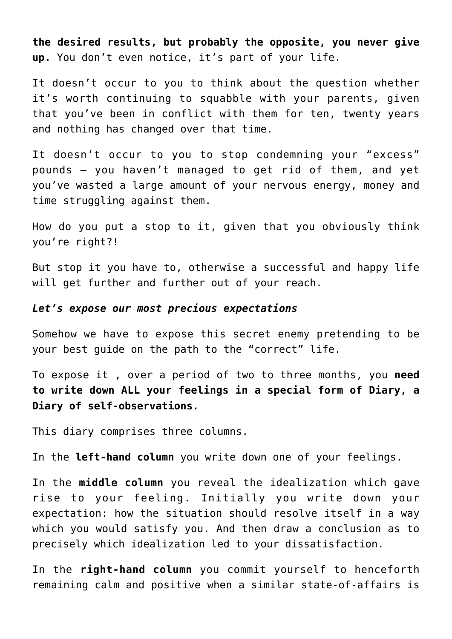**the desired results, but probably the opposite, you never give up.** You don't even notice, it's part of your life.

It doesn't occur to you to think about the question whether it's worth continuing to squabble with your parents, given that you've been in conflict with them for ten, twenty years and nothing has changed over that time.

It doesn't occur to you to stop condemning your "excess" pounds – you haven't managed to get rid of them, and yet you've wasted a large amount of your nervous energy, money and time struggling against them.

How do you put a stop to it, given that you obviously think you're right?!

But stop it you have to, otherwise a successful and happy life will get further and further out of your reach.

#### *Let's expose our most precious expectations*

Somehow we have to expose this secret enemy pretending to be your best guide on the path to the "correct" life.

To expose it , over a period of two to three months, you **need to write down ALL your feelings in a special form of Diary, a Diary of self-observations.**

This diary comprises three columns.

In the **left-hand column** you write down one of your feelings.

In the **middle column** you reveal the idealization which gave rise to your feeling. Initially you write down your expectation: how the situation should resolve itself in a way which you would satisfy you. And then draw a conclusion as to precisely which idealization led to your dissatisfaction.

In the **right-hand column** you commit yourself to henceforth remaining calm and positive when a similar state-of-affairs is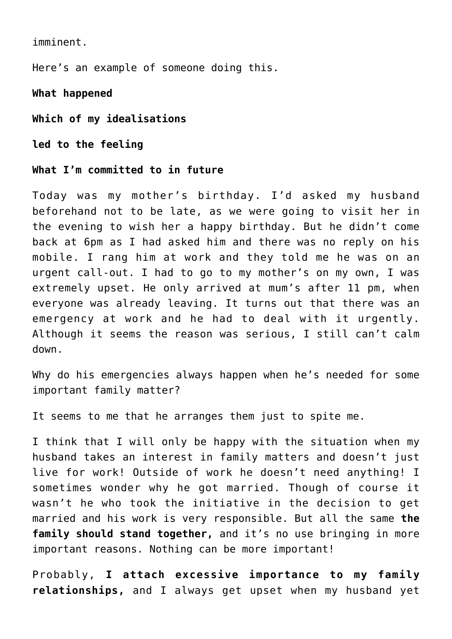imminent.

Here's an example of someone doing this.

**What happened**

**Which of my idealisations**

**led to the feeling**

**What I'm committed to in future**

Today was my mother's birthday. I'd asked my husband beforehand not to be late, as we were going to visit her in the evening to wish her a happy birthday. But he didn't come back at 6pm as I had asked him and there was no reply on his mobile. I rang him at work and they told me he was on an urgent call-out. I had to go to my mother's on my own, I was extremely upset. He only arrived at mum's after 11 pm, when everyone was already leaving. It turns out that there was an emergency at work and he had to deal with it urgently. Although it seems the reason was serious, I still can't calm down.

Why do his emergencies always happen when he's needed for some important family matter?

It seems to me that he arranges them just to spite me.

I think that I will only be happy with the situation when my husband takes an interest in family matters and doesn't just live for work! Outside of work he doesn't need anything! I sometimes wonder why he got married. Though of course it wasn't he who took the initiative in the decision to get married and his work is very responsible. But all the same **the family should stand together,** and it's no use bringing in more important reasons. Nothing can be more important!

Probably, **I attach excessive importance to my family relationships,** and I always get upset when my husband yet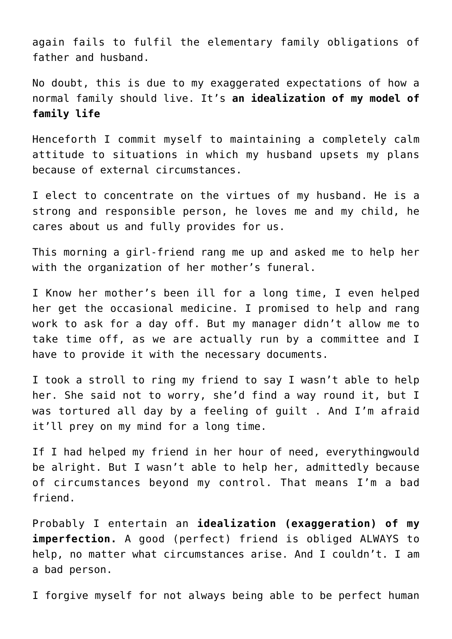again fails to fulfil the elementary family obligations of father and husband.

No doubt, this is due to my exaggerated expectations of how a normal family should live. It's **an idealization of my model of family life**

Henceforth I commit myself to maintaining a completely calm attitude to situations in which my husband upsets my plans because of external circumstances.

I elect to concentrate on the virtues of my husband. He is a strong and responsible person, he loves me and my child, he cares about us and fully provides for us.

This morning a girl-friend rang me up and asked me to help her with the organization of her mother's funeral.

I Know her mother's been ill for a long time, I even helped her get the occasional medicine. I promised to help and rang work to ask for a day off. But my manager didn't allow me to take time off, as we are actually run by a committee and I have to provide it with the necessary documents.

I took a stroll to ring my friend to say I wasn't able to help her. She said not to worry, she'd find a way round it, but I was tortured all day by a feeling of guilt . And I'm afraid it'll prey on my mind for a long time.

If I had helped my friend in her hour of need, everythingwould be alright. But I wasn't able to help her, admittedly because of circumstances beyond my control. That means I'm a bad friend.

Probably I entertain an **idealization (exaggeration) of my imperfection.** A good (perfect) friend is obliged ALWAYS to help, no matter what circumstances arise. And I couldn't. I am a bad person.

I forgive myself for not always being able to be perfect human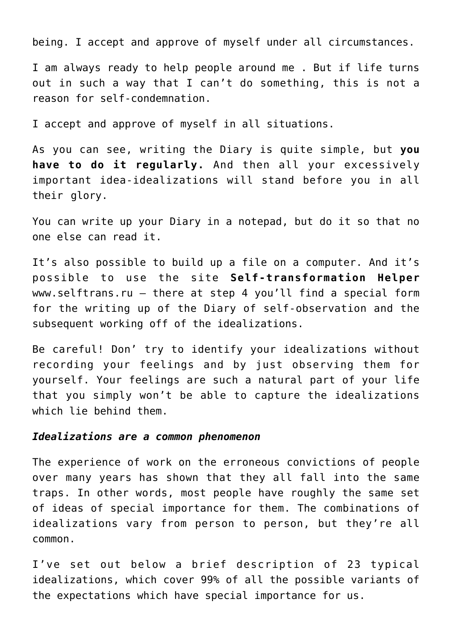being. I accept and approve of myself under all circumstances.

I am always ready to help people around me . But if life turns out in such a way that I can't do something, this is not a reason for self-condemnation.

I accept and approve of myself in all situations.

As you can see, writing the Diary is quite simple, but **you have to do it regularly.** And then all your excessively important idea-idealizations will stand before you in all their glory.

You can write up your Diary in a notepad, but do it so that no one else can read it.

It's also possible to build up a file on a computer. And it's possible to use the site **Self-transformation Helper** www.selftrans.ru – there at step 4 you'll find a special form for the writing up of the Diary of self-observation and the subsequent working off of the idealizations.

Be careful! Don' try to identify your idealizations without recording your feelings and by just observing them for yourself. Your feelings are such a natural part of your life that you simply won't be able to capture the idealizations which lie behind them.

#### *Idealizations are a common phenomenon*

The experience of work on the erroneous convictions of people over many years has shown that they all fall into the same traps. In other words, most people have roughly the same set of ideas of special importance for them. The combinations of idealizations vary from person to person, but they're all common.

I've set out below a brief description of 23 typical idealizations, which cover 99% of all the possible variants of the expectations which have special importance for us.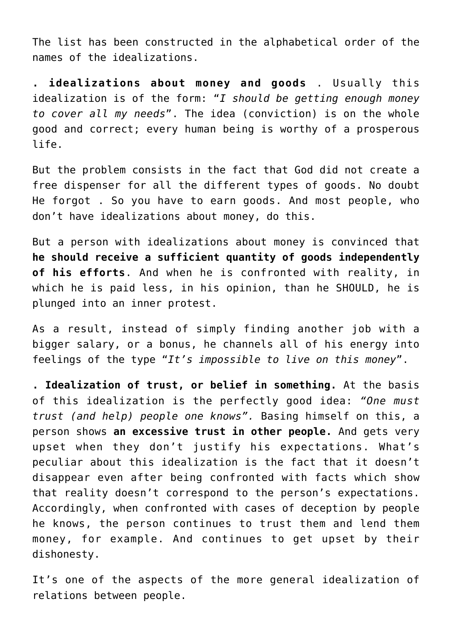The list has been constructed in the alphabetical order of the names of the idealizations.

**. idealizations about money and goods** . Usually this idealization is of the form: "*I should be getting enough money to cover all my needs*". The idea (conviction) is on the whole good and correct; every human being is worthy of a prosperous life.

But the problem consists in the fact that God did not create a free dispenser for all the different types of goods. No doubt He forgot . So you have to earn goods. And most people, who don't have idealizations about money, do this.

But a person with idealizations about money is convinced that **he should receive a sufficient quantity of goods independently of his efforts**. And when he is confronted with reality, in which he is paid less, in his opinion, than he SHOULD, he is plunged into an inner protest.

As a result, instead of simply finding another job with a bigger salary, or a bonus, he channels all of his energy into feelings of the type "*It's impossible to live on this money*".

**. Idealization of trust, or belief in something.** At the basis of this idealization is the perfectly good idea: *"One must trust (and help) people one knows".* Basing himself on this, a person shows **an excessive trust in other people.** And gets very upset when they don't justify his expectations. What's peculiar about this idealization is the fact that it doesn't disappear even after being confronted with facts which show that reality doesn't correspond to the person's expectations. Accordingly, when confronted with cases of deception by people he knows, the person continues to trust them and lend them money, for example. And continues to get upset by their dishonesty.

It's one of the aspects of the more general idealization of relations between people.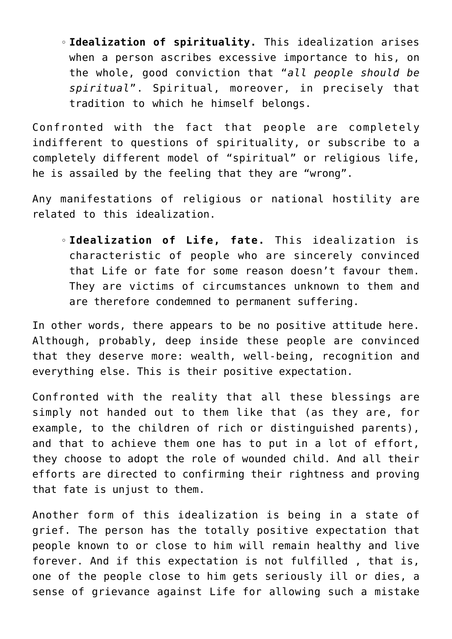**Idealization of spirituality.** This idealization arises when a person ascribes excessive importance to his, on the whole, good conviction that "*all people should be spiritual*". Spiritual, moreover, in precisely that tradition to which he himself belongs.

Confronted with the fact that people are completely indifferent to questions of spirituality, or subscribe to a completely different model of "spiritual" or religious life, he is assailed by the feeling that they are "wrong".

Any manifestations of religious or national hostility are related to this idealization.

**Idealization of Life, fate.** This idealization is characteristic of people who are sincerely convinced that Life or fate for some reason doesn't favour them. They are victims of circumstances unknown to them and are therefore condemned to permanent suffering.

In other words, there appears to be no positive attitude here. Although, probably, deep inside these people are convinced that they deserve more: wealth, well-being, recognition and everything else. This is their positive expectation.

Confronted with the reality that all these blessings are simply not handed out to them like that (as they are, for example, to the children of rich or distinguished parents), and that to achieve them one has to put in a lot of effort, they choose to adopt the role of wounded child. And all their efforts are directed to confirming their rightness and proving that fate is unjust to them.

Another form of this idealization is being in a state of grief. The person has the totally positive expectation that people known to or close to him will remain healthy and live forever. And if this expectation is not fulfilled , that is, one of the people close to him gets seriously ill or dies, a sense of grievance against Life for allowing such a mistake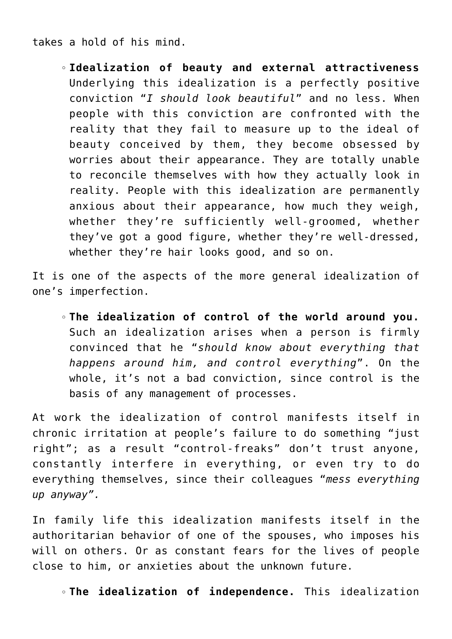takes a hold of his mind.

**Idealization of beauty and external attractiveness** Underlying this idealization is a perfectly positive conviction "*I should look beautiful*" and no less. When people with this conviction are confronted with the reality that they fail to measure up to the ideal of beauty conceived by them, they become obsessed by worries about their appearance. They are totally unable to reconcile themselves with how they actually look in reality. People with this idealization are permanently anxious about their appearance, how much they weigh, whether they're sufficiently well-groomed, whether they've got a good figure, whether they're well-dressed, whether they're hair looks good, and so on.

It is one of the aspects of the more general idealization of one's imperfection.

**The idealization of control of the world around you.** Such an idealization arises when a person is firmly convinced that he "*should know about everything that happens around him, and control everything*". On the whole, it's not a bad conviction, since control is the basis of any management of processes.

At work the idealization of control manifests itself in chronic irritation at people's failure to do something "just right"; as a result "control-freaks" don't trust anyone, constantly interfere in everything, or even try to do everything themselves, since their colleagues "*mess everything up anyway".*

In family life this idealization manifests itself in the authoritarian behavior of one of the spouses, who imposes his will on others. Or as constant fears for the lives of people close to him, or anxieties about the unknown future.

**The idealization of independence.** This idealization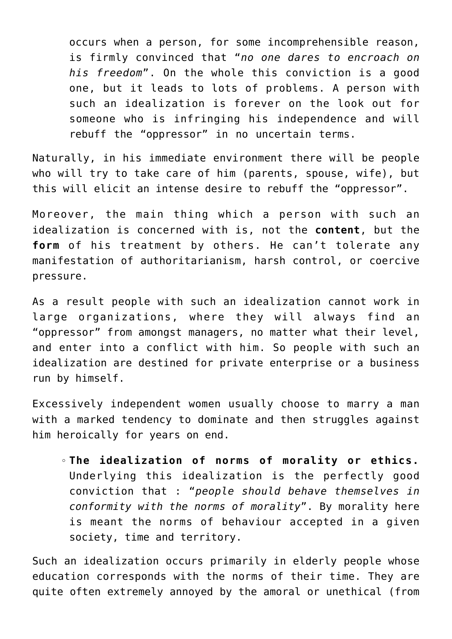occurs when a person, for some incomprehensible reason, is firmly convinced that "*no one dares to encroach on his freedom*". On the whole this conviction is a good one, but it leads to lots of problems. A person with such an idealization is forever on the look out for someone who is infringing his independence and will rebuff the "oppressor" in no uncertain terms.

Naturally, in his immediate environment there will be people who will try to take care of him (parents, spouse, wife), but this will elicit an intense desire to rebuff the "oppressor".

Moreover, the main thing which a person with such an idealization is concerned with is, not the **content**, but the **form** of his treatment by others. He can't tolerate any manifestation of authoritarianism, harsh control, or coercive pressure.

As a result people with such an idealization cannot work in large organizations, where they will always find an "oppressor" from amongst managers, no matter what their level, and enter into a conflict with him. So people with such an idealization are destined for private enterprise or a business run by himself.

Excessively independent women usually choose to marry a man with a marked tendency to dominate and then struggles against him heroically for years on end.

**The idealization of norms of morality or ethics.** Underlying this idealization is the perfectly good conviction that : "*people should behave themselves in conformity with the norms of morality*". By morality here is meant the norms of behaviour accepted in a given society, time and territory.

Such an idealization occurs primarily in elderly people whose education corresponds with the norms of their time. They are quite often extremely annoyed by the amoral or unethical (from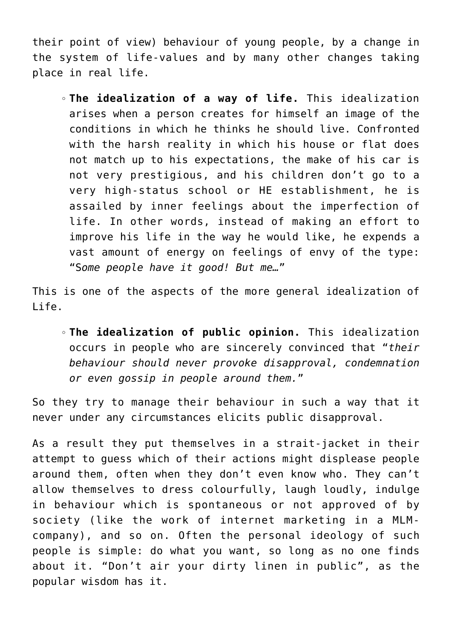their point of view) behaviour of young people, by a change in the system of life-values and by many other changes taking place in real life.

**The idealization of a way of life.** This idealization arises when a person creates for himself an image of the conditions in which he thinks he should live. Confronted with the harsh reality in which his house or flat does not match up to his expectations, the make of his car is not very prestigious, and his children don't go to a very high-status school or HE establishment, he is assailed by inner feelings about the imperfection of life. In other words, instead of making an effort to improve his life in the way he would like, he expends a vast amount of energy on feelings of envy of the type: "S*ome people have it good! But me…*"

This is one of the aspects of the more general idealization of Life.

**The idealization of public opinion.** This idealization occurs in people who are sincerely convinced that "*their behaviour should never provoke disapproval, condemnation or even gossip in people around them.*"

So they try to manage their behaviour in such a way that it never under any circumstances elicits public disapproval.

As a result they put themselves in a strait-jacket in their attempt to guess which of their actions might displease people around them, often when they don't even know who. They can't allow themselves to dress colourfully, laugh loudly, indulge in behaviour which is spontaneous or not approved of by society (like the work of internet marketing in a MLMcompany), and so on. Often the personal ideology of such people is simple: do what you want, so long as no one finds about it. "Don't air your dirty linen in public", as the popular wisdom has it.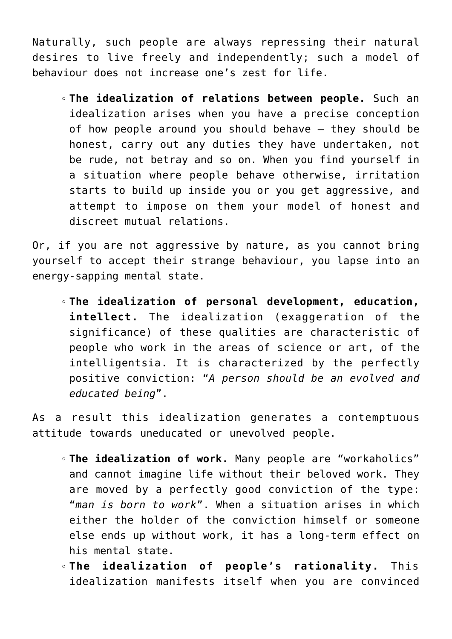Naturally, such people are always repressing their natural desires to live freely and independently; such a model of behaviour does not increase one's zest for life.

**The idealization of relations between people.** Such an idealization arises when you have a precise conception of how people around you should behave – they should be honest, carry out any duties they have undertaken, not be rude, not betray and so on. When you find yourself in a situation where people behave otherwise, irritation starts to build up inside you or you get aggressive, and attempt to impose on them your model of honest and discreet mutual relations.

Or, if you are not aggressive by nature, as you cannot bring yourself to accept their strange behaviour, you lapse into an energy-sapping mental state.

**The idealization of personal development, education, intellect.** The idealization (exaggeration of the significance) of these qualities are characteristic of people who work in the areas of science or art, of the intelligentsia. It is characterized by the perfectly positive conviction: "*A person should be an evolved and educated being*".

As a result this idealization generates a contemptuous attitude towards uneducated or unevolved people.

- **The idealization of work.** Many people are "workaholics" and cannot imagine life without their beloved work. They are moved by a perfectly good conviction of the type: "*man is born to work*". When a situation arises in which either the holder of the conviction himself or someone else ends up without work, it has a long-term effect on his mental state.
- **The idealization of people's rationality.** This idealization manifests itself when you are convinced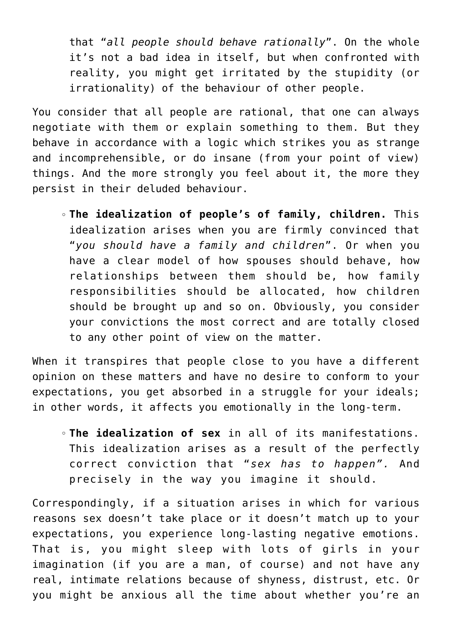that "*all people should behave rationally*". On the whole it's not a bad idea in itself, but when confronted with reality, you might get irritated by the stupidity (or irrationality) of the behaviour of other people.

You consider that all people are rational, that one can always negotiate with them or explain something to them. But they behave in accordance with a logic which strikes you as strange and incomprehensible, or do insane (from your point of view) things. And the more strongly you feel about it, the more they persist in their deluded behaviour.

**The idealization of people's of family, children.** This idealization arises when you are firmly convinced that "*you should have a family and children*". Or when you have a clear model of how spouses should behave, how relationships between them should be, how family responsibilities should be allocated, how children should be brought up and so on. Obviously, you consider your convictions the most correct and are totally closed to any other point of view on the matter.

When it transpires that people close to you have a different opinion on these matters and have no desire to conform to your expectations, you get absorbed in a struggle for your ideals; in other words, it affects you emotionally in the long-term.

**The idealization of sex** in all of its manifestations. This idealization arises as a result of the perfectly correct conviction that "*sex has to happen".* And precisely in the way you imagine it should.

Correspondingly, if a situation arises in which for various reasons sex doesn't take place or it doesn't match up to your expectations, you experience long-lasting negative emotions. That is, you might sleep with lots of girls in your imagination (if you are a man, of course) and not have any real, intimate relations because of shyness, distrust, etc. Or you might be anxious all the time about whether you're an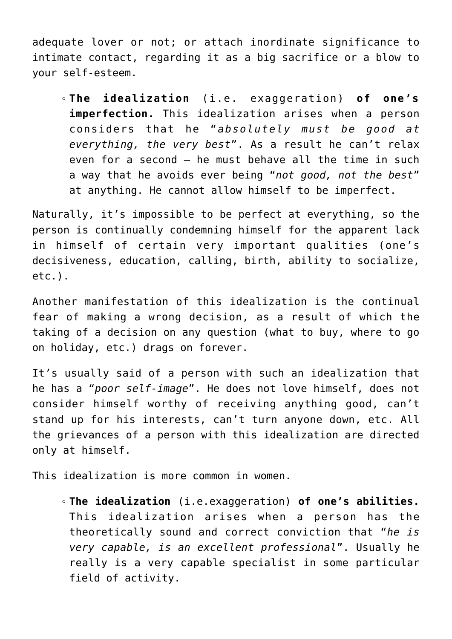adequate lover or not; or attach inordinate significance to intimate contact, regarding it as a big sacrifice or a blow to your self-esteem.

**The idealization** (i.e. exaggeration) **of one's imperfection.** This idealization arises when a person considers that he "*absolutely must be good at everything, the very best*". As a result he can't relax even for a second – he must behave all the time in such a way that he avoids ever being "*not good, not the best*" at anything. He cannot allow himself to be imperfect.

Naturally, it's impossible to be perfect at everything, so the person is continually condemning himself for the apparent lack in himself of certain very important qualities (one's decisiveness, education, calling, birth, ability to socialize, etc.).

Another manifestation of this idealization is the continual fear of making a wrong decision, as a result of which the taking of a decision on any question (what to buy, where to go on holiday, etc.) drags on forever.

It's usually said of a person with such an idealization that he has a "*poor self-image*". He does not love himself, does not consider himself worthy of receiving anything good, can't stand up for his interests, can't turn anyone down, etc. All the grievances of a person with this idealization are directed only at himself.

This idealization is more common in women.

**The idealization** (i.e.exaggeration) **of one's abilities.** This idealization arises when a person has the theoretically sound and correct conviction that "*he is very capable, is an excellent professional*". Usually he really is a very capable specialist in some particular field of activity.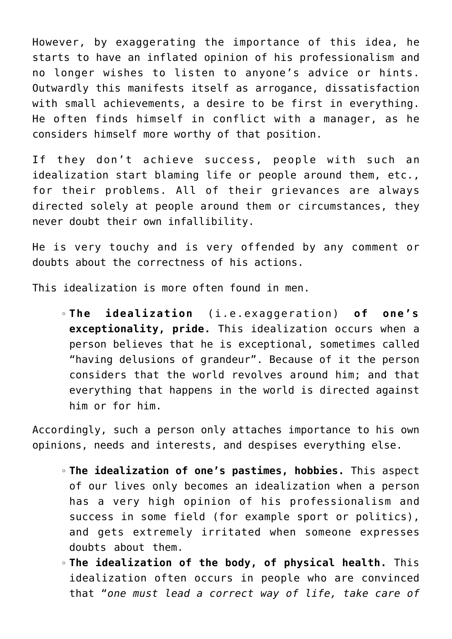However, by exaggerating the importance of this idea, he starts to have an inflated opinion of his professionalism and no longer wishes to listen to anyone's advice or hints. Outwardly this manifests itself as arrogance, dissatisfaction with small achievements, a desire to be first in everything. He often finds himself in conflict with a manager, as he considers himself more worthy of that position.

If they don't achieve success, people with such an idealization start blaming life or people around them, etc., for their problems. All of their grievances are always directed solely at people around them or circumstances, they never doubt their own infallibility.

He is very touchy and is very offended by any comment or doubts about the correctness of his actions.

This idealization is more often found in men.

**The idealization** (i.e.exaggeration) **of one's exceptionality, pride.** This idealization occurs when a person believes that he is exceptional, sometimes called "having delusions of grandeur". Because of it the person considers that the world revolves around him; and that everything that happens in the world is directed against him or for him.

Accordingly, such a person only attaches importance to his own opinions, needs and interests, and despises everything else.

- **The idealization of one's pastimes, hobbies.** This aspect of our lives only becomes an idealization when a person has a very high opinion of his professionalism and success in some field (for example sport or politics), and gets extremely irritated when someone expresses doubts about them.
- **The idealization of the body, of physical health.** This idealization often occurs in people who are convinced that "*one must lead a correct way of life, take care of*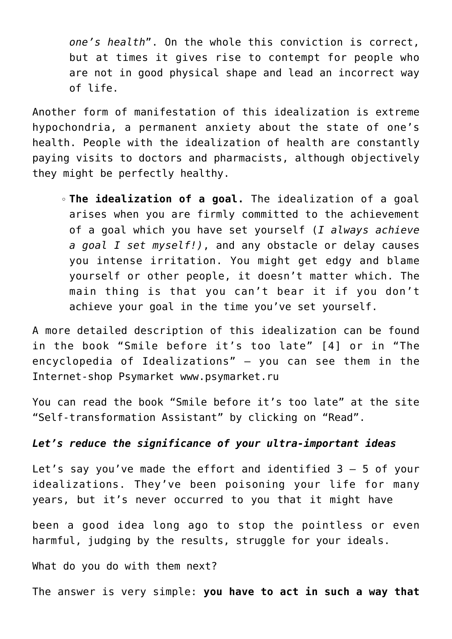*one's health*". On the whole this conviction is correct, but at times it gives rise to contempt for people who are not in good physical shape and lead an incorrect way of life.

Another form of manifestation of this idealization is extreme hypochondria, a permanent anxiety about the state of one's health. People with the idealization of health are constantly paying visits to doctors and pharmacists, although objectively they might be perfectly healthy.

**The idealization of a goal.** The idealization of a goal arises when you are firmly committed to the achievement of a goal which you have set yourself (*I always achieve a goal I set myself!)*, and any obstacle or delay causes you intense irritation. You might get edgy and blame yourself or other people, it doesn't matter which. The main thing is that you can't bear it if you don't achieve your goal in the time you've set yourself.

A more detailed description of this idealization can be found in the book "Smile before it's too late" [4] or in "The encyclopedia of Idealizations" – you can see them in the Internet-shop Psymarket www.psymarket.ru

You can read the book "Smile before it's too late" at the site "Self-transformation Assistant" by clicking on "Read".

## *Let's reduce the significance of your ultra-important ideas*

Let's say you've made the effort and identified 3 – 5 of your idealizations. They've been poisoning your life for many years, but it's never occurred to you that it might have

been a good idea long ago to stop the pointless or even harmful, judging by the results, struggle for your ideals.

What do you do with them next?

The answer is very simple: **you have to act in such a way that**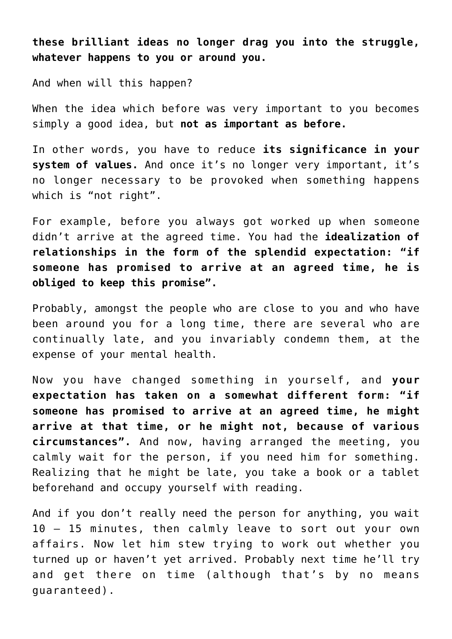**these brilliant ideas no longer drag you into the struggle, whatever happens to you or around you.**

And when will this happen?

When the idea which before was very important to you becomes simply a good idea, but **not as important as before.**

In other words, you have to reduce **its significance in your system of values.** And once it's no longer very important, it's no longer necessary to be provoked when something happens which is "not right".

For example, before you always got worked up when someone didn't arrive at the agreed time. You had the **idealization of relationships in the form of the splendid expectation: "if someone has promised to arrive at an agreed time, he is obliged to keep this promise".**

Probably, amongst the people who are close to you and who have been around you for a long time, there are several who are continually late, and you invariably condemn them, at the expense of your mental health.

Now you have changed something in yourself, and **your expectation has taken on a somewhat different form: "if someone has promised to arrive at an agreed time, he might arrive at that time, or he might not, because of various circumstances".** And now, having arranged the meeting, you calmly wait for the person, if you need him for something. Realizing that he might be late, you take a book or a tablet beforehand and occupy yourself with reading.

And if you don't really need the person for anything, you wait 10 – 15 minutes, then calmly leave to sort out your own affairs. Now let him stew trying to work out whether you turned up or haven't yet arrived. Probably next time he'll try and get there on time (although that's by no means guaranteed).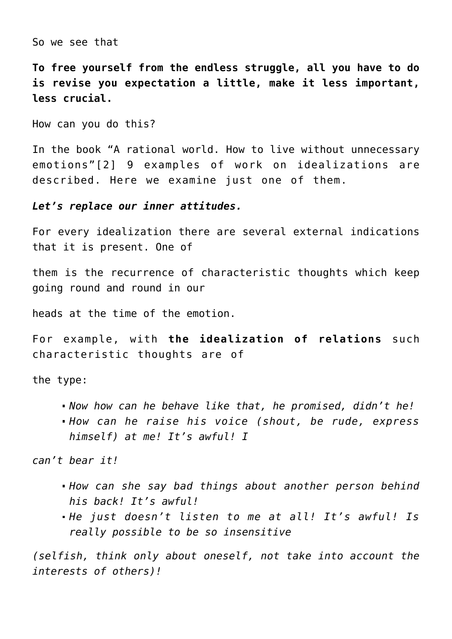So we see that

**To free yourself from the endless struggle, all you have to do is revise you expectation a little, make it less important, less crucial.**

How can you do this?

In the book "A rational world. How to live without unnecessary emotions"[2] 9 examples of work on idealizations are described. Here we examine just one of them.

*Let's replace our inner attitudes.*

For every idealization there are several external indications that it is present. One of

them is the recurrence of characteristic thoughts which keep going round and round in our

heads at the time of the emotion.

For example, with **the idealization of relations** such characteristic thoughts are of

the type:

*Now how can he behave like that, he promised, didn't he! How can he raise his voice (shout, be rude, express himself) at me! It's awful! I*

*can't bear it!*

- *How can she say bad things about another person behind his back! It's awful!*
- *He just doesn't listen to me at all! It's awful! Is really possible to be so insensitive*

*(selfish, think only about oneself, not take into account the interests of others)!*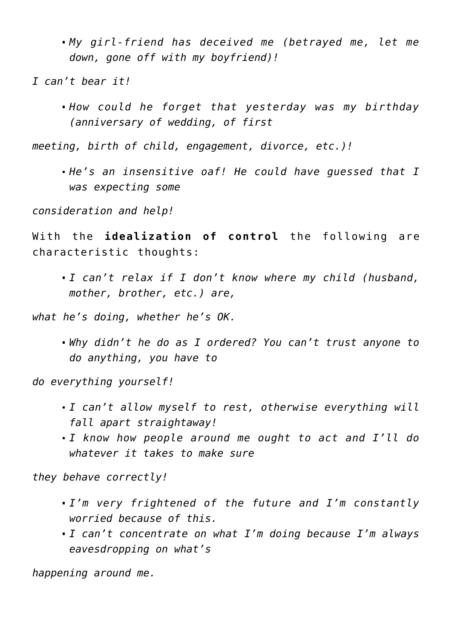*My girl-friend has deceived me (betrayed me, let me down, gone off with my boyfriend)!*

*I can't bear it!*

*How could he forget that yesterday was my birthday (anniversary of wedding, of first*

*meeting, birth of child, engagement, divorce, etc.)!*

*He's an insensitive oaf! He could have guessed that I was expecting some*

*consideration and help!*

With the **idealization of control** the following are characteristic thoughts:

*I can't relax if I don't know where my child (husband, mother, brother, etc.) are,*

*what he's doing, whether he's OK.*

*Why didn't he do as I ordered? You can't trust anyone to do anything, you have to*

*do everything yourself!*

- *I can't allow myself to rest, otherwise everything will fall apart straightaway!*
- *I know how people around me ought to act and I'll do whatever it takes to make sure*

*they behave correctly!*

- *I'm very frightened of the future and I'm constantly worried because of this.*
- *I can't concentrate on what I'm doing because I'm always eavesdropping on what's*

*happening around me.*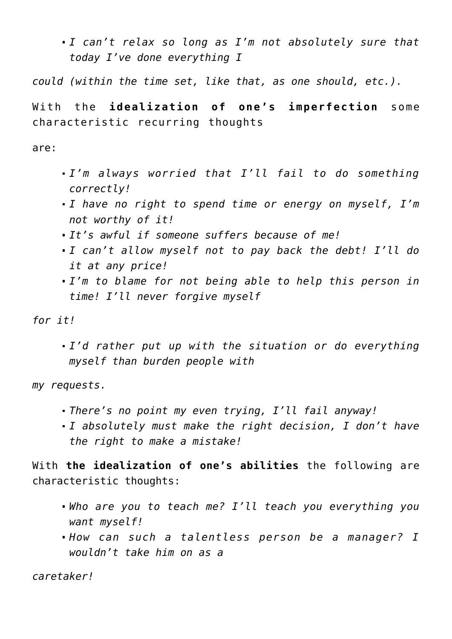*I can't relax so long as I'm not absolutely sure that today I've done everything I*

*could (within the time set, like that, as one should, etc.).*

With the **idealization of one's imperfection** some characteristic recurring thoughts

are:

- *I'm always worried that I'll fail to do something correctly!*
- *I have no right to spend time or energy on myself, I'm not worthy of it!*
- *It's awful if someone suffers because of me!*
- *I can't allow myself not to pay back the debt! I'll do it at any price!*
- *I'm to blame for not being able to help this person in time! I'll never forgive myself*

*for it!*

*I'd rather put up with the situation or do everything myself than burden people with*

*my requests.*

- *There's no point my even trying, I'll fail anyway!*
- *I absolutely must make the right decision, I don't have the right to make a mistake!*

With **the idealization of one's abilities** the following are characteristic thoughts:

- *Who are you to teach me? I'll teach you everything you want myself!*
- *How can such a talentless person be a manager? I wouldn't take him on as a*

*caretaker!*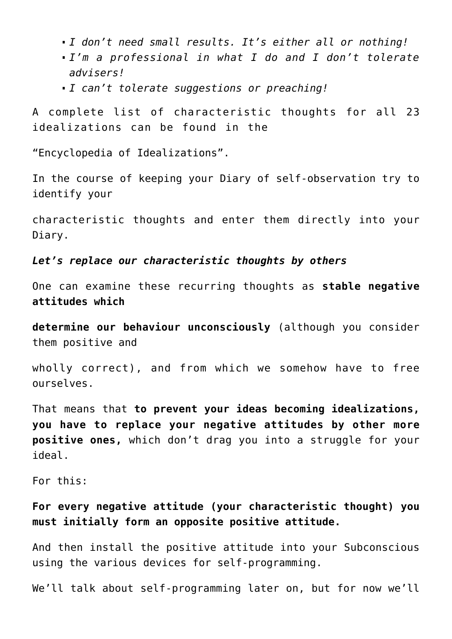- *I don't need small results. It's either all or nothing!*
- *I'm a professional in what I do and I don't tolerate advisers!*
- *I can't tolerate suggestions or preaching!*

A complete list of characteristic thoughts for all 23 idealizations can be found in the

"Encyclopedia of Idealizations".

In the course of keeping your Diary of self-observation try to identify your

characteristic thoughts and enter them directly into your Diary.

# *Let's replace our characteristic thoughts by others*

One can examine these recurring thoughts as **stable negative attitudes which**

**determine our behaviour unconsciously** (although you consider them positive and

wholly correct), and from which we somehow have to free ourselves.

That means that **to prevent your ideas becoming idealizations, you have to replace your negative attitudes by other more positive ones,** which don't drag you into a struggle for your ideal.

For this:

# **For every negative attitude (your characteristic thought) you must initially form an opposite positive attitude.**

And then install the positive attitude into your Subconscious using the various devices for self-programming.

We'll talk about self-programming later on, but for now we'll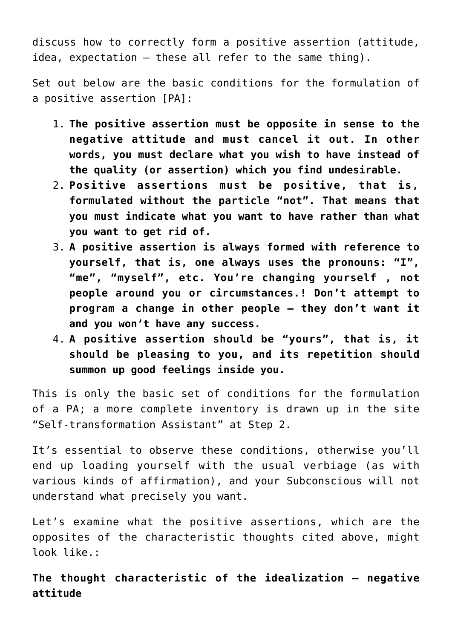discuss how to correctly form a positive assertion (attitude, idea, expectation – these all refer to the same thing).

Set out below are the basic conditions for the formulation of a positive assertion [PA]:

- 1. **The positive assertion must be opposite in sense to the negative attitude and must cancel it out. In other words, you must declare what you wish to have instead of the quality (or assertion) which you find undesirable.**
- 2. **Positive assertions must be positive, that is, formulated without the particle "not". That means that you must indicate what you want to have rather than what you want to get rid of.**
- 3. **A positive assertion is always formed with reference to yourself, that is, one always uses the pronouns: "I", "me", "myself", etc. You're changing yourself , not people around you or circumstances.! Don't attempt to program a change in other people – they don't want it and you won't have any success.**
- 4. **A positive assertion should be "yours", that is, it should be pleasing to you, and its repetition should summon up good feelings inside you.**

This is only the basic set of conditions for the formulation of a PA; a more complete inventory is drawn up in the site "Self-transformation Assistant" at Step 2.

It's essential to observe these conditions, otherwise you'll end up loading yourself with the usual verbiage (as with various kinds of affirmation), and your Subconscious will not understand what precisely you want.

Let's examine what the positive assertions, which are the opposites of the characteristic thoughts cited above, might look like.:

**The thought characteristic of the idealization – negative attitude**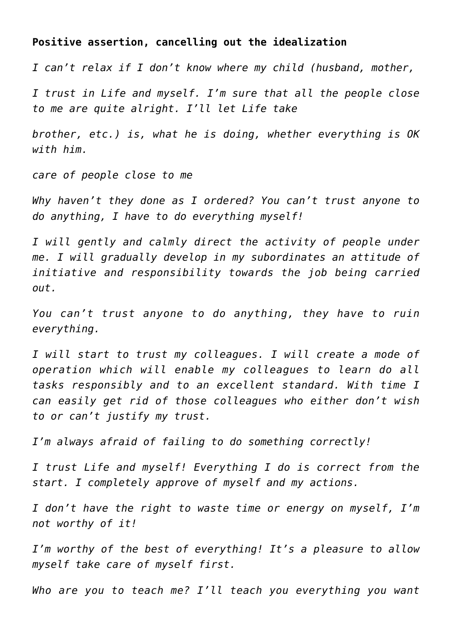#### **Positive assertion, cancelling out the idealization**

*I can't relax if I don't know where my child (husband, mother,*

*I trust in Life and myself. I'm sure that all the people close to me are quite alright. I'll let Life take*

*brother, etc.) is, what he is doing, whether everything is OK with him.*

*care of people close to me*

*Why haven't they done as I ordered? You can't trust anyone to do anything, I have to do everything myself!*

*I will gently and calmly direct the activity of people under me. I will gradually develop in my subordinates an attitude of initiative and responsibility towards the job being carried out.*

*You can't trust anyone to do anything, they have to ruin everything.*

*I will start to trust my colleagues. I will create a mode of operation which will enable my colleagues to learn do all tasks responsibly and to an excellent standard. With time I can easily get rid of those colleagues who either don't wish to or can't justify my trust.*

*I'm always afraid of failing to do something correctly!*

*I trust Life and myself! Everything I do is correct from the start. I completely approve of myself and my actions.*

*I don't have the right to waste time or energy on myself, I'm not worthy of it!*

*I'm worthy of the best of everything! It's a pleasure to allow myself take care of myself first.*

*Who are you to teach me? I'll teach you everything you want*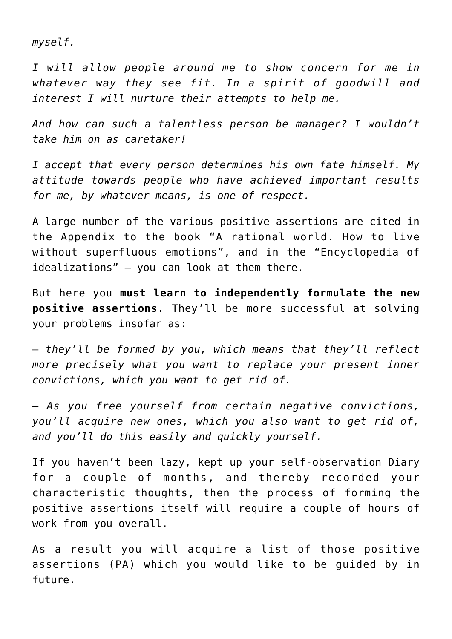*myself.*

*I will allow people around me to show concern for me in whatever way they see fit. In a spirit of goodwill and interest I will nurture their attempts to help me.*

*And how can such a talentless person be manager? I wouldn't take him on as caretaker!*

*I accept that every person determines his own fate himself. My attitude towards people who have achieved important results for me, by whatever means, is one of respect.*

A large number of the various positive assertions are cited in the Appendix to the book "A rational world. How to live without superfluous emotions", and in the "Encyclopedia of idealizations" – you can look at them there.

But here you **must learn to independently formulate the new positive assertions.** They'll be more successful at solving your problems insofar as:

– *they'll be formed by you, which means that they'll reflect more precisely what you want to replace your present inner convictions, which you want to get rid of.*

– *As you free yourself from certain negative convictions, you'll acquire new ones, which you also want to get rid of, and you'll do this easily and quickly yourself.*

If you haven't been lazy, kept up your self-observation Diary for a couple of months, and thereby recorded your characteristic thoughts, then the process of forming the positive assertions itself will require a couple of hours of work from you overall.

As a result you will acquire a list of those positive assertions (PA) which you would like to be guided by in future.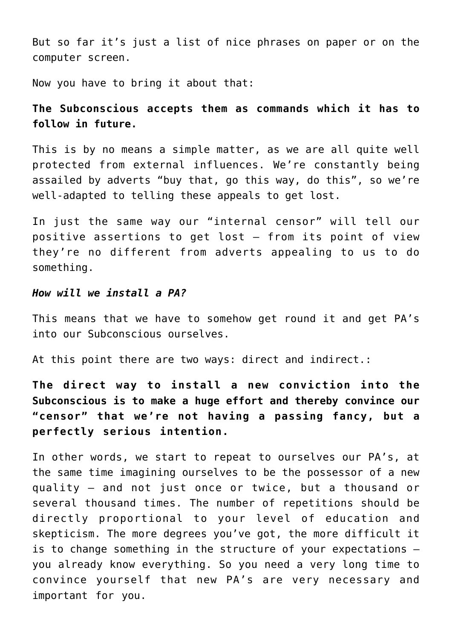But so far it's just a list of nice phrases on paper or on the computer screen.

Now you have to bring it about that:

# **The Subconscious accepts them as commands which it has to follow in future.**

This is by no means a simple matter, as we are all quite well protected from external influences. We're constantly being assailed by adverts "buy that, go this way, do this", so we're well-adapted to telling these appeals to get lost.

In just the same way our "internal censor" will tell our positive assertions to get lost – from its point of view they're no different from adverts appealing to us to do something.

#### *How will we install a PA?*

This means that we have to somehow get round it and get PA's into our Subconscious ourselves.

At this point there are two ways: direct and indirect.:

**The direct way to install a new conviction into the Subconscious is to make a huge effort and thereby convince our "censor" that we're not having a passing fancy, but a perfectly serious intention.**

In other words, we start to repeat to ourselves our PA's, at the same time imagining ourselves to be the possessor of a new quality – and not just once or twice, but a thousand or several thousand times. The number of repetitions should be directly proportional to your level of education and skepticism. The more degrees you've got, the more difficult it is to change something in the structure of your expectations – you already know everything. So you need a very long time to convince yourself that new PA's are very necessary and important for you.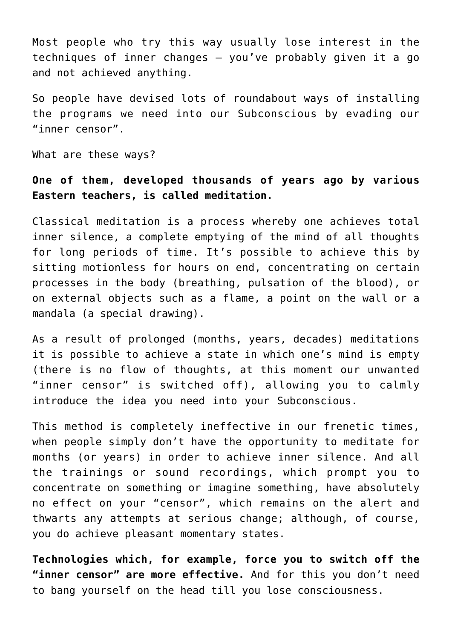Most people who try this way usually lose interest in the techniques of inner changes – you've probably given it a go and not achieved anything.

So people have devised lots of roundabout ways of installing the programs we need into our Subconscious by evading our "inner censor".

What are these ways?

# **One of them, developed thousands of years ago by various Eastern teachers, is called meditation.**

Classical meditation is a process whereby one achieves total inner silence, a complete emptying of the mind of all thoughts for long periods of time. It's possible to achieve this by sitting motionless for hours on end, concentrating on certain processes in the body (breathing, pulsation of the blood), or on external objects such as a flame, a point on the wall or a mandala (a special drawing).

As a result of prolonged (months, years, decades) meditations it is possible to achieve a state in which one's mind is empty (there is no flow of thoughts, at this moment our unwanted "inner censor" is switched off), allowing you to calmly introduce the idea you need into your Subconscious.

This method is completely ineffective in our frenetic times, when people simply don't have the opportunity to meditate for months (or years) in order to achieve inner silence. And all the trainings or sound recordings, which prompt you to concentrate on something or imagine something, have absolutely no effect on your "censor", which remains on the alert and thwarts any attempts at serious change; although, of course, you do achieve pleasant momentary states.

**Technologies which, for example, force you to switch off the "inner censor" are more effective.** And for this you don't need to bang yourself on the head till you lose consciousness.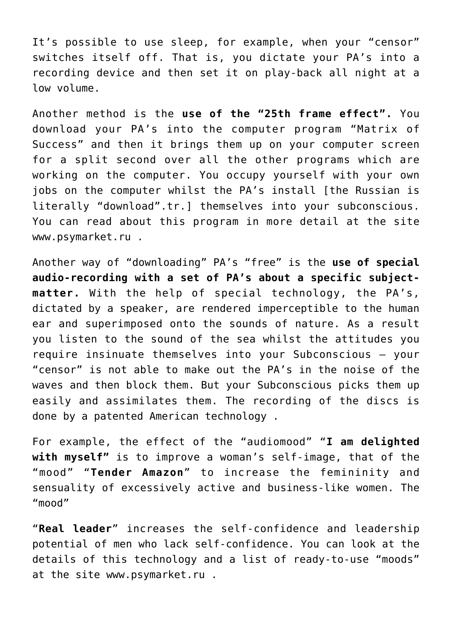It's possible to use sleep, for example, when your "censor" switches itself off. That is, you dictate your PA's into a recording device and then set it on play-back all night at a low volume.

Another method is the **use of the "25th frame effect".** You download your PA's into the computer program "Matrix of Success" and then it brings them up on your computer screen for a split second over all the other programs which are working on the computer. You occupy yourself with your own jobs on the computer whilst the PA's install [the Russian is literally "download".tr.] themselves into your subconscious. You can read about this program in more detail at the site www.psymarket.ru .

Another way of "downloading" PA's "free" is the **use of special audio-recording with a set of PA's about a specific subjectmatter.** With the help of special technology, the PA's, dictated by a speaker, are rendered imperceptible to the human ear and superimposed onto the sounds of nature. As a result you listen to the sound of the sea whilst the attitudes you require insinuate themselves into your Subconscious – your "censor" is not able to make out the PA's in the noise of the waves and then block them. But your Subconscious picks them up easily and assimilates them. The recording of the discs is done by a patented American technology .

For example, the effect of the "audiomood" "**I am delighted with myself"** is to improve a woman's self-image, that of the "mood" "**Tender Amazon**" to increase the femininity and sensuality of excessively active and business-like women. The "mood"

"**Real leader**" increases the self-confidence and leadership potential of men who lack self-confidence. You can look at the details of this technology and a list of ready-to-use "moods" at the site www.psymarket.ru .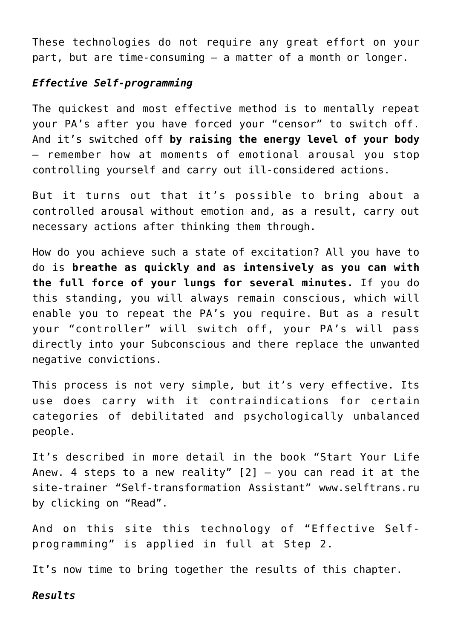These technologies do not require any great effort on your part, but are time-consuming – a matter of a month or longer.

# *Effective Self-programming*

The quickest and most effective method is to mentally repeat your PA's after you have forced your "censor" to switch off. And it's switched off **by raising the energy level of your body** – remember how at moments of emotional arousal you stop controlling yourself and carry out ill-considered actions.

But it turns out that it's possible to bring about a controlled arousal without emotion and, as a result, carry out necessary actions after thinking them through.

How do you achieve such a state of excitation? All you have to do is **breathe as quickly and as intensively as you can with the full force of your lungs for several minutes.** If you do this standing, you will always remain conscious, which will enable you to repeat the PA's you require. But as a result your "controller" will switch off, your PA's will pass directly into your Subconscious and there replace the unwanted negative convictions.

This process is not very simple, but it's very effective. Its use does carry with it contraindications for certain categories of debilitated and psychologically unbalanced people.

It's described in more detail in the book "Start Your Life Anew. 4 steps to a new reality"  $[2]$  - you can read it at the site-trainer "Self-transformation Assistant" www.selftrans.ru by clicking on "Read".

And on this site this technology of "Effective Selfprogramming" is applied in full at Step 2.

It's now time to bring together the results of this chapter.

#### *Results*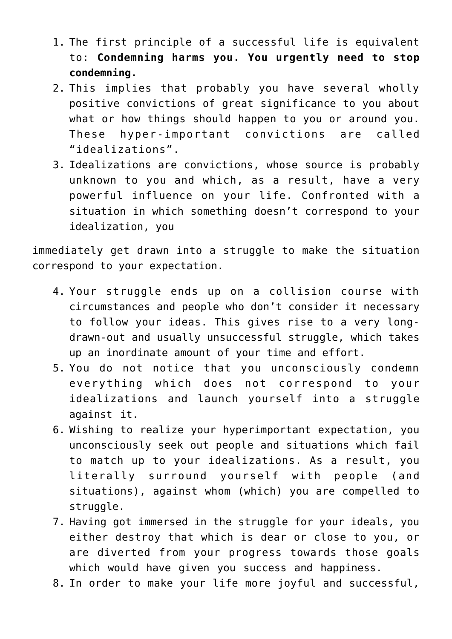- 1. The first principle of a successful life is equivalent to: **Condemning harms you. You urgently need to stop condemning.**
- 2. This implies that probably you have several wholly positive convictions of great significance to you about what or how things should happen to you or around you. These hyper-important convictions are called "idealizations".
- 3. Idealizations are convictions, whose source is probably unknown to you and which, as a result, have a very powerful influence on your life. Confronted with a situation in which something doesn't correspond to your idealization, you

immediately get drawn into a struggle to make the situation correspond to your expectation.

- 4. Your struggle ends up on a collision course with circumstances and people who don't consider it necessary to follow your ideas. This gives rise to a very longdrawn-out and usually unsuccessful struggle, which takes up an inordinate amount of your time and effort.
- 5. You do not notice that you unconsciously condemn everything which does not correspond to your idealizations and launch yourself into a struggle against it.
- 6. Wishing to realize your hyperimportant expectation, you unconsciously seek out people and situations which fail to match up to your idealizations. As a result, you literally surround yourself with people (and situations), against whom (which) you are compelled to struggle.
- 7. Having got immersed in the struggle for your ideals, you either destroy that which is dear or close to you, or are diverted from your progress towards those goals which would have given you success and happiness.
- 8. In order to make your life more joyful and successful,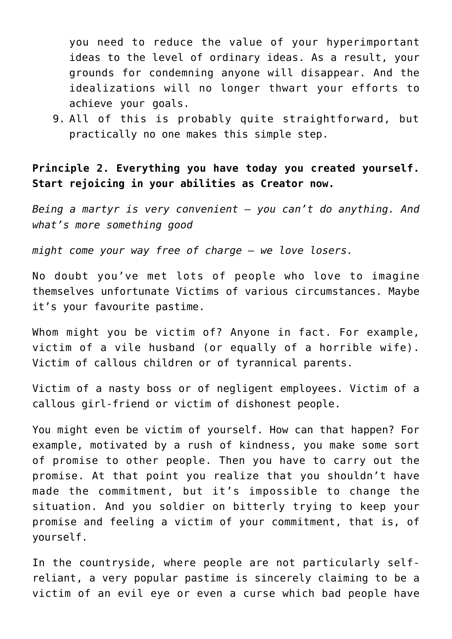you need to reduce the value of your hyperimportant ideas to the level of ordinary ideas. As a result, your grounds for condemning anyone will disappear. And the idealizations will no longer thwart your efforts to achieve your goals.

9. All of this is probably quite straightforward, but practically no one makes this simple step.

**Principle 2. Everything you have today you created yourself. Start rejoicing in your abilities as Creator now.**

*Being a martyr is very convenient – you can't do anything. And what's more something good*

*might come your way free of charge – we love losers.*

No doubt you've met lots of people who love to imagine themselves unfortunate Victims of various circumstances. Maybe it's your favourite pastime.

Whom might you be victim of? Anyone in fact. For example, victim of a vile husband (or equally of a horrible wife). Victim of callous children or of tyrannical parents.

Victim of a nasty boss or of negligent employees. Victim of a callous girl-friend or victim of dishonest people.

You might even be victim of yourself. How can that happen? For example, motivated by a rush of kindness, you make some sort of promise to other people. Then you have to carry out the promise. At that point you realize that you shouldn't have made the commitment, but it's impossible to change the situation. And you soldier on bitterly trying to keep your promise and feeling a victim of your commitment, that is, of yourself.

In the countryside, where people are not particularly selfreliant, a very popular pastime is sincerely claiming to be a victim of an evil eye or even a curse which bad people have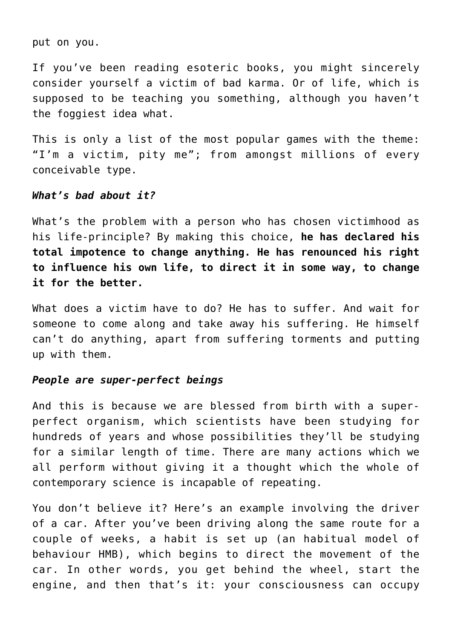put on you.

If you've been reading esoteric books, you might sincerely consider yourself a victim of bad karma. Or of life, which is supposed to be teaching you something, although you haven't the foggiest idea what.

This is only a list of the most popular games with the theme: "I'm a victim, pity me"; from amongst millions of every conceivable type.

### *What's bad about it?*

What's the problem with a person who has chosen victimhood as his life-principle? By making this choice, **he has declared his total impotence to change anything. He has renounced his right to influence his own life, to direct it in some way, to change it for the better.**

What does a victim have to do? He has to suffer. And wait for someone to come along and take away his suffering. He himself can't do anything, apart from suffering torments and putting up with them.

## *People are super-perfect beings*

And this is because we are blessed from birth with a superperfect organism, which scientists have been studying for hundreds of years and whose possibilities they'll be studying for a similar length of time. There are many actions which we all perform without giving it a thought which the whole of contemporary science is incapable of repeating.

You don't believe it? Here's an example involving the driver of a car. After you've been driving along the same route for a couple of weeks, a habit is set up (an habitual model of behaviour HMB), which begins to direct the movement of the car. In other words, you get behind the wheel, start the engine, and then that's it: your consciousness can occupy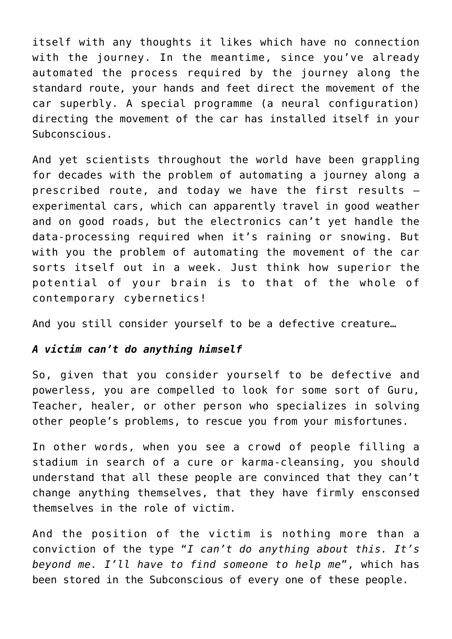itself with any thoughts it likes which have no connection with the journey. In the meantime, since you've already automated the process required by the journey along the standard route, your hands and feet direct the movement of the car superbly. A special programme (a neural configuration) directing the movement of the car has installed itself in your Subconscious.

And yet scientists throughout the world have been grappling for decades with the problem of automating a journey along a prescribed route, and today we have the first results – experimental cars, which can apparently travel in good weather and on good roads, but the electronics can't yet handle the data-processing required when it's raining or snowing. But with you the problem of automating the movement of the car sorts itself out in a week. Just think how superior the potential of your brain is to that of the whole of contemporary cybernetics!

And you still consider yourself to be a defective creature…

# *A victim can't do anything himself*

So, given that you consider yourself to be defective and powerless, you are compelled to look for some sort of Guru, Teacher, healer, or other person who specializes in solving other people's problems, to rescue you from your misfortunes.

In other words, when you see a crowd of people filling a stadium in search of a cure or karma-cleansing, you should understand that all these people are convinced that they can't change anything themselves, that they have firmly ensconsed themselves in the role of victim.

And the position of the victim is nothing more than a conviction of the type "*I can't do anything about this. It's beyond me. I'll have to find someone to help me*", which has been stored in the Subconscious of every one of these people.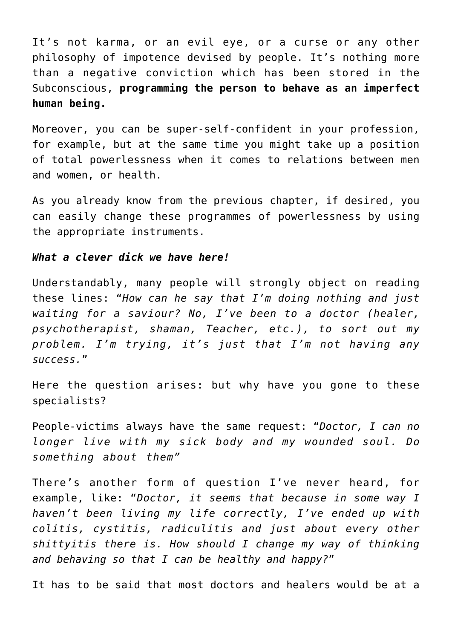It's not karma, or an evil eye, or a curse or any other philosophy of impotence devised by people. It's nothing more than a negative conviction which has been stored in the Subconscious, **programming the person to behave as an imperfect human being.**

Moreover, you can be super-self-confident in your profession, for example, but at the same time you might take up a position of total powerlessness when it comes to relations between men and women, or health.

As you already know from the previous chapter, if desired, you can easily change these programmes of powerlessness by using the appropriate instruments.

## *What a clever dick we have here!*

Understandably, many people will strongly object on reading these lines: "*How can he say that I'm doing nothing and just waiting for a saviour? No, I've been to a doctor (healer, psychotherapist, shaman, Teacher, etc.), to sort out my problem. I'm trying, it's just that I'm not having any success.*"

Here the question arises: but why have you gone to these specialists?

People-victims always have the same request: "*Doctor, I can no longer live with my sick body and my wounded soul. Do something about them"*

There's another form of question I've never heard, for example, like: "*Doctor, it seems that because in some way I haven't been living my life correctly, I've ended up with colitis, cystitis, radiculitis and just about every other shittyitis there is. How should I change my way of thinking and behaving so that I can be healthy and happy?*"

It has to be said that most doctors and healers would be at a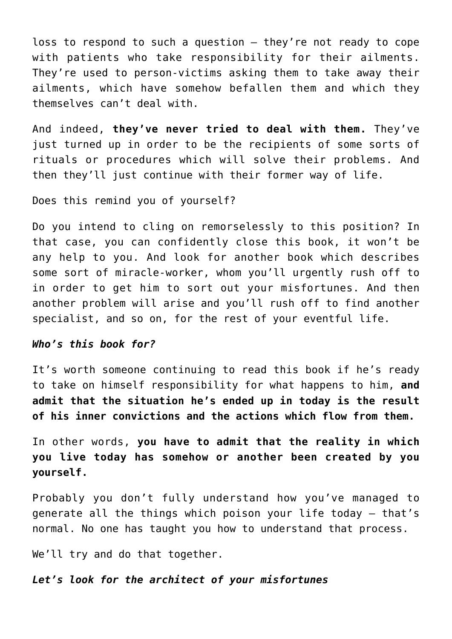loss to respond to such a question – they're not ready to cope with patients who take responsibility for their ailments. They're used to person-victims asking them to take away their ailments, which have somehow befallen them and which they themselves can't deal with.

And indeed, **they've never tried to deal with them.** They've just turned up in order to be the recipients of some sorts of rituals or procedures which will solve their problems. And then they'll just continue with their former way of life.

Does this remind you of yourself?

Do you intend to cling on remorselessly to this position? In that case, you can confidently close this book, it won't be any help to you. And look for another book which describes some sort of miracle-worker, whom you'll urgently rush off to in order to get him to sort out your misfortunes. And then another problem will arise and you'll rush off to find another specialist, and so on, for the rest of your eventful life.

#### *Who's this book for?*

It's worth someone continuing to read this book if he's ready to take on himself responsibility for what happens to him, **and admit that the situation he's ended up in today is the result of his inner convictions and the actions which flow from them.**

In other words, **you have to admit that the reality in which you live today has somehow or another been created by you yourself.**

Probably you don't fully understand how you've managed to generate all the things which poison your life today – that's normal. No one has taught you how to understand that process.

We'll try and do that together.

## *Let's look for the architect of your misfortunes*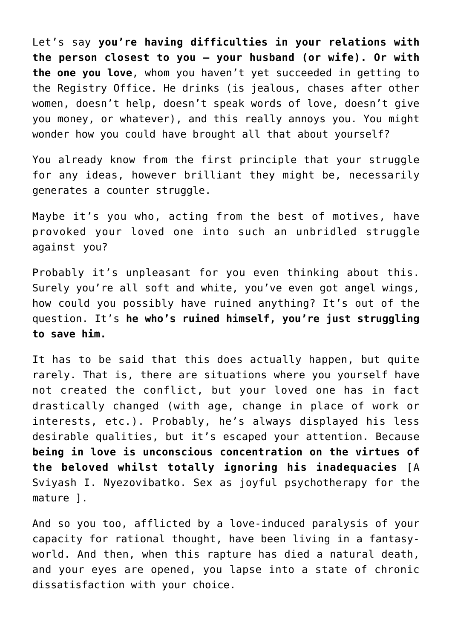Let's say **you're having difficulties in your relations with the person closest to you – your husband (or wife). Or with the one you love**, whom you haven't yet succeeded in getting to the Registry Office. He drinks (is jealous, chases after other women, doesn't help, doesn't speak words of love, doesn't give you money, or whatever), and this really annoys you. You might wonder how you could have brought all that about yourself?

You already know from the first principle that your struggle for any ideas, however brilliant they might be, necessarily generates a counter struggle.

Maybe it's you who, acting from the best of motives, have provoked your loved one into such an unbridled struggle against you?

Probably it's unpleasant for you even thinking about this. Surely you're all soft and white, you've even got angel wings, how could you possibly have ruined anything? It's out of the question. It's **he who's ruined himself, you're just struggling to save him.**

It has to be said that this does actually happen, but quite rarely. That is, there are situations where you yourself have not created the conflict, but your loved one has in fact drastically changed (with age, change in place of work or interests, etc.). Probably, he's always displayed his less desirable qualities, but it's escaped your attention. Because **being in love is unconscious concentration on the virtues of the beloved whilst totally ignoring his inadequacies** [A Sviyash I. Nyezovibatko. Sex as joyful psychotherapy for the mature ].

And so you too, afflicted by a love-induced paralysis of your capacity for rational thought, have been living in a fantasyworld. And then, when this rapture has died a natural death, and your eyes are opened, you lapse into a state of chronic dissatisfaction with your choice.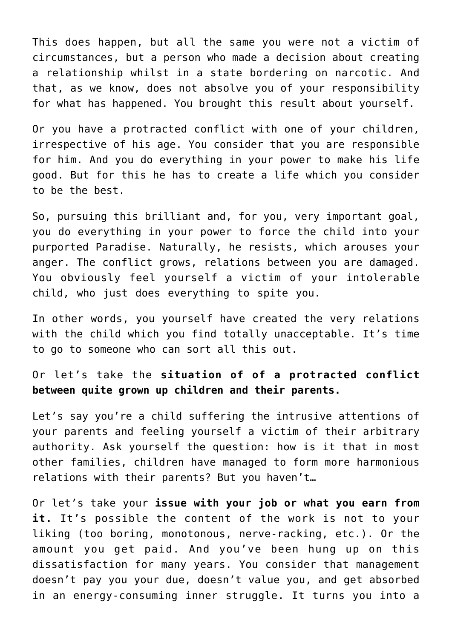This does happen, but all the same you were not a victim of circumstances, but a person who made a decision about creating a relationship whilst in a state bordering on narcotic. And that, as we know, does not absolve you of your responsibility for what has happened. You brought this result about yourself.

Or you have a protracted conflict with one of your children, irrespective of his age. You consider that you are responsible for him. And you do everything in your power to make his life good. But for this he has to create a life which you consider to be the best.

So, pursuing this brilliant and, for you, very important goal, you do everything in your power to force the child into your purported Paradise. Naturally, he resists, which arouses your anger. The conflict grows, relations between you are damaged. You obviously feel yourself a victim of your intolerable child, who just does everything to spite you.

In other words, you yourself have created the very relations with the child which you find totally unacceptable. It's time to go to someone who can sort all this out.

Or let's take the **situation of of a protracted conflict between quite grown up children and their parents.**

Let's say you're a child suffering the intrusive attentions of your parents and feeling yourself a victim of their arbitrary authority. Ask yourself the question: how is it that in most other families, children have managed to form more harmonious relations with their parents? But you haven't…

Or let's take your **issue with your job or what you earn from it.** It's possible the content of the work is not to your liking (too boring, monotonous, nerve-racking, etc.). Or the amount you get paid. And you've been hung up on this dissatisfaction for many years. You consider that management doesn't pay you your due, doesn't value you, and get absorbed in an energy-consuming inner struggle. It turns you into a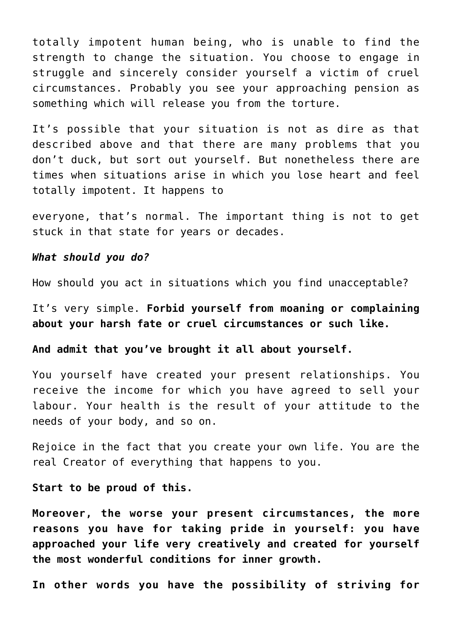totally impotent human being, who is unable to find the strength to change the situation. You choose to engage in struggle and sincerely consider yourself a victim of cruel circumstances. Probably you see your approaching pension as something which will release you from the torture.

It's possible that your situation is not as dire as that described above and that there are many problems that you don't duck, but sort out yourself. But nonetheless there are times when situations arise in which you lose heart and feel totally impotent. It happens to

everyone, that's normal. The important thing is not to get stuck in that state for years or decades.

#### *What should you do?*

How should you act in situations which you find unacceptable?

It's very simple. **Forbid yourself from moaning or complaining about your harsh fate or cruel circumstances or such like.**

# **And admit that you've brought it all about yourself.**

You yourself have created your present relationships. You receive the income for which you have agreed to sell your labour. Your health is the result of your attitude to the needs of your body, and so on.

Rejoice in the fact that you create your own life. You are the real Creator of everything that happens to you.

#### **Start to be proud of this.**

**Moreover, the worse your present circumstances, the more reasons you have for taking pride in yourself: you have approached your life very creatively and created for yourself the most wonderful conditions for inner growth.**

**In other words you have the possibility of striving for**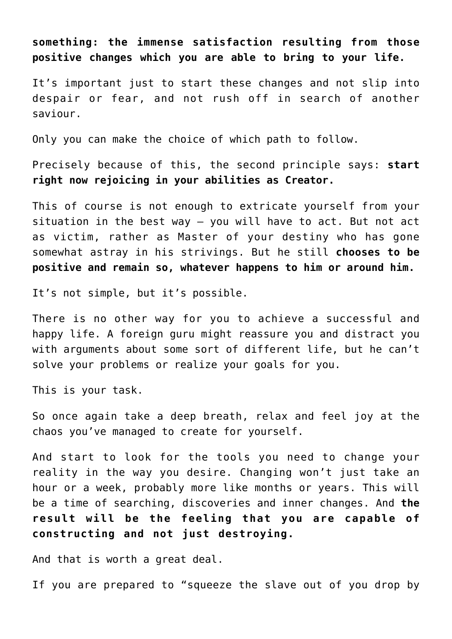**something: the immense satisfaction resulting from those positive changes which you are able to bring to your life.**

It's important just to start these changes and not slip into despair or fear, and not rush off in search of another saviour.

Only you can make the choice of which path to follow.

Precisely because of this, the second principle says: **start right now rejoicing in your abilities as Creator.**

This of course is not enough to extricate yourself from your situation in the best way – you will have to act. But not act as victim, rather as Master of your destiny who has gone somewhat astray in his strivings. But he still **chooses to be positive and remain so, whatever happens to him or around him.**

It's not simple, but it's possible.

There is no other way for you to achieve a successful and happy life. A foreign guru might reassure you and distract you with arguments about some sort of different life, but he can't solve your problems or realize your goals for you.

This is your task.

So once again take a deep breath, relax and feel joy at the chaos you've managed to create for yourself.

And start to look for the tools you need to change your reality in the way you desire. Changing won't just take an hour or a week, probably more like months or years. This will be a time of searching, discoveries and inner changes. And **the result will be the feeling that you are capable of constructing and not just destroying.**

And that is worth a great deal.

If you are prepared to "squeeze the slave out of you drop by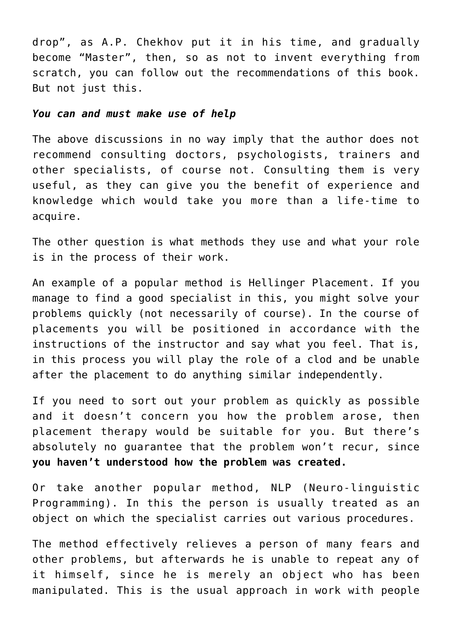drop", as A.P. Chekhov put it in his time, and gradually become "Master", then, so as not to invent everything from scratch, you can follow out the recommendations of this book. But not just this.

#### *You can and must make use of help*

The above discussions in no way imply that the author does not recommend consulting doctors, psychologists, trainers and other specialists, of course not. Consulting them is very useful, as they can give you the benefit of experience and knowledge which would take you more than a life-time to acquire.

The other question is what methods they use and what your role is in the process of their work.

An example of a popular method is Hellinger Placement. If you manage to find a good specialist in this, you might solve your problems quickly (not necessarily of course). In the course of placements you will be positioned in accordance with the instructions of the instructor and say what you feel. That is, in this process you will play the role of a clod and be unable after the placement to do anything similar independently.

If you need to sort out your problem as quickly as possible and it doesn't concern you how the problem arose, then placement therapy would be suitable for you. But there's absolutely no guarantee that the problem won't recur, since **you haven't understood how the problem was created.**

Or take another popular method, NLP (Neuro-linguistic Programming). In this the person is usually treated as an object on which the specialist carries out various procedures.

The method effectively relieves a person of many fears and other problems, but afterwards he is unable to repeat any of it himself, since he is merely an object who has been manipulated. This is the usual approach in work with people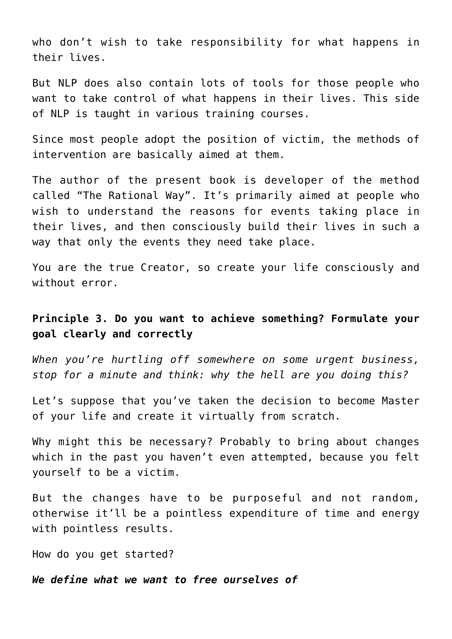who don't wish to take responsibility for what happens in their lives.

But NLP does also contain lots of tools for those people who want to take control of what happens in their lives. This side of NLP is taught in various training courses.

Since most people adopt the position of victim, the methods of intervention are basically aimed at them.

The author of the present book is developer of the method called "The Rational Way". It's primarily aimed at people who wish to understand the reasons for events taking place in their lives, and then consciously build their lives in such a way that only the events they need take place.

You are the true Creator, so create your life consciously and without error.

# **Principle 3. Do you want to achieve something? Formulate your goal clearly and correctly**

*When you're hurtling off somewhere on some urgent business, stop for a minute and think: why the hell are you doing this?*

Let's suppose that you've taken the decision to become Master of your life and create it virtually from scratch.

Why might this be necessary? Probably to bring about changes which in the past you haven't even attempted, because you felt yourself to be a victim.

But the changes have to be purposeful and not random, otherwise it'll be a pointless expenditure of time and energy with pointless results.

How do you get started?

*We define what we want to free ourselves of*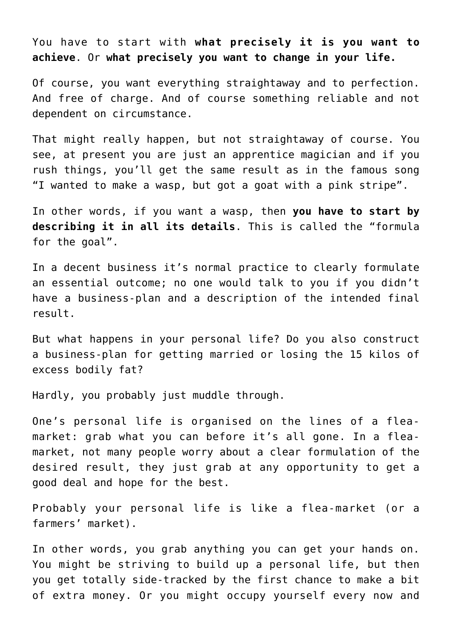You have to start with **what precisely it is you want to achieve**. Or **what precisely you want to change in your life.**

Of course, you want everything straightaway and to perfection. And free of charge. And of course something reliable and not dependent on circumstance.

That might really happen, but not straightaway of course. You see, at present you are just an apprentice magician and if you rush things, you'll get the same result as in the famous song "I wanted to make a wasp, but got a goat with a pink stripe".

In other words, if you want a wasp, then **you have to start by describing it in all its details**. This is called the "formula for the goal".

In a decent business it's normal practice to clearly formulate an essential outcome; no one would talk to you if you didn't have a business-plan and a description of the intended final result.

But what happens in your personal life? Do you also construct a business-plan for getting married or losing the 15 kilos of excess bodily fat?

Hardly, you probably just muddle through.

One's personal life is organised on the lines of a fleamarket: grab what you can before it's all gone. In a fleamarket, not many people worry about a clear formulation of the desired result, they just grab at any opportunity to get a good deal and hope for the best.

Probably your personal life is like a flea-market (or a farmers' market).

In other words, you grab anything you can get your hands on. You might be striving to build up a personal life, but then you get totally side-tracked by the first chance to make a bit of extra money. Or you might occupy yourself every now and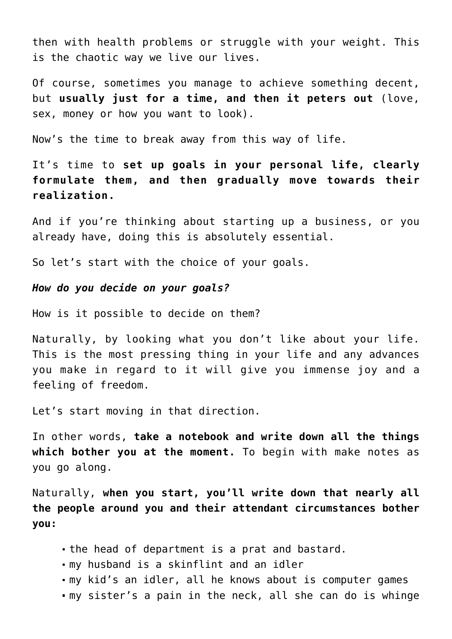then with health problems or struggle with your weight. This is the chaotic way we live our lives.

Of course, sometimes you manage to achieve something decent, but **usually just for a time, and then it peters out** (love, sex, money or how you want to look).

Now's the time to break away from this way of life.

It's time to **set up goals in your personal life, clearly formulate them, and then gradually move towards their realization.**

And if you're thinking about starting up a business, or you already have, doing this is absolutely essential.

So let's start with the choice of your goals.

### *How do you decide on your goals?*

How is it possible to decide on them?

Naturally, by looking what you don't like about your life. This is the most pressing thing in your life and any advances you make in regard to it will give you immense joy and a feeling of freedom.

Let's start moving in that direction.

In other words, **take a notebook and write down all the things which bother you at the moment.** To begin with make notes as you go along.

Naturally, **when you start, you'll write down that nearly all the people around you and their attendant circumstances bother you:**

- the head of department is a prat and bastard.
- my husband is a skinflint and an idler
- my kid's an idler, all he knows about is computer games
- my sister's a pain in the neck, all she can do is whinge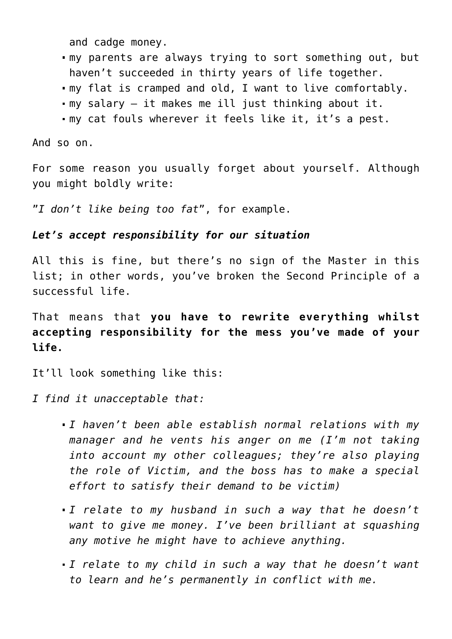and cadge money.

- my parents are always trying to sort something out, but haven't succeeded in thirty years of life together.
- my flat is cramped and old, I want to live comfortably.
- my salary it makes me ill just thinking about it.
- my cat fouls wherever it feels like it, it's a pest.

And so on.

For some reason you usually forget about yourself. Although you might boldly write:

"*I don't like being too fat*", for example.

# *Let's accept responsibility for our situation*

All this is fine, but there's no sign of the Master in this list; in other words, you've broken the Second Principle of a successful life.

That means that **you have to rewrite everything whilst accepting responsibility for the mess you've made of your life.**

It'll look something like this:

*I find it unacceptable that:*

- *I haven't been able establish normal relations with my manager and he vents his anger on me (I'm not taking into account my other colleagues; they're also playing the role of Victim, and the boss has to make a special effort to satisfy their demand to be victim)*
- *I relate to my husband in such a way that he doesn't want to give me money. I've been brilliant at squashing any motive he might have to achieve anything.*
- *I relate to my child in such a way that he doesn't want to learn and he's permanently in conflict with me.*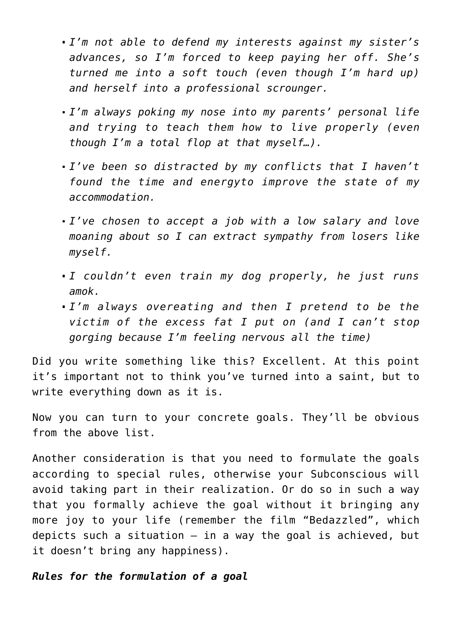- *I'm not able to defend my interests against my sister's advances, so I'm forced to keep paying her off. She's turned me into a soft touch (even though I'm hard up) and herself into a professional scrounger.*
- *I'm always poking my nose into my parents' personal life and trying to teach them how to live properly (even though I'm a total flop at that myself…).*
- *I've been so distracted by my conflicts that I haven't found the time and energyto improve the state of my accommodation.*
- *I've chosen to accept a job with a low salary and love moaning about so I can extract sympathy from losers like myself.*
- *I couldn't even train my dog properly, he just runs amok.*
- *I'm always overeating and then I pretend to be the victim of the excess fat I put on (and I can't stop gorging because I'm feeling nervous all the time)*

Did you write something like this? Excellent. At this point it's important not to think you've turned into a saint, but to write everything down as it is.

Now you can turn to your concrete goals. They'll be obvious from the above list.

Another consideration is that you need to formulate the goals according to special rules, otherwise your Subconscious will avoid taking part in their realization. Or do so in such a way that you formally achieve the goal without it bringing any more joy to your life (remember the film "Bedazzled", which depicts such a situation – in a way the goal is achieved, but it doesn't bring any happiness).

## *Rules for the formulation of a goal*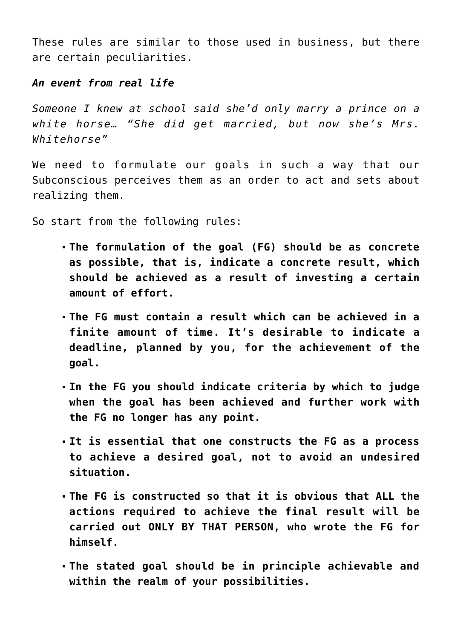These rules are similar to those used in business, but there are certain peculiarities.

# *An event from real life*

*Someone I knew at school said she'd only marry a prince on a white horse… "She did get married, but now she's Mrs. Whitehorse"*

We need to formulate our goals in such a way that our Subconscious perceives them as an order to act and sets about realizing them.

So start from the following rules:

- **The formulation of the goal (FG) should be as concrete as possible, that is, indicate a concrete result, which should be achieved as a result of investing a certain amount of effort.**
- **The FG must contain a result which can be achieved in a finite amount of time. It's desirable to indicate a deadline, planned by you, for the achievement of the goal.**
- **In the FG you should indicate criteria by which to judge when the goal has been achieved and further work with the FG no longer has any point.**
- **It is essential that one constructs the FG as a process to achieve a desired goal, not to avoid an undesired situation.**
- **The FG is constructed so that it is obvious that ALL the actions required to achieve the final result will be carried out ONLY BY THAT PERSON, who wrote the FG for himself.**
- **The stated goal should be in principle achievable and within the realm of your possibilities.**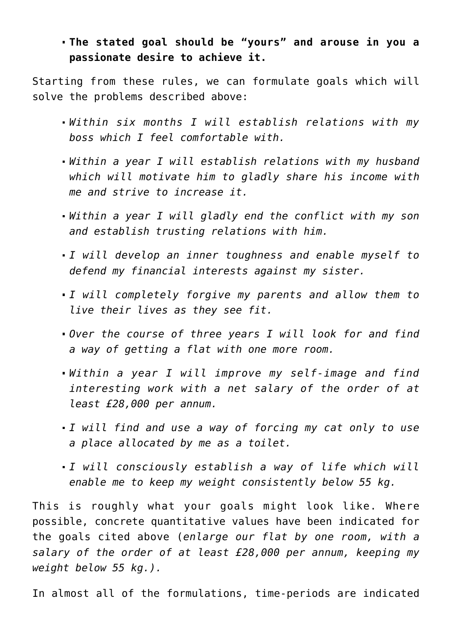# **The stated goal should be "yours" and arouse in you a passionate desire to achieve it.**

Starting from these rules, we can formulate goals which will solve the problems described above:

- *Within six months I will establish relations with my boss which I feel comfortable with.*
- *Within a year I will establish relations with my husband which will motivate him to gladly share his income with me and strive to increase it.*
- *Within a year I will gladly end the conflict with my son and establish trusting relations with him.*
- *I will develop an inner toughness and enable myself to defend my financial interests against my sister.*
- *I will completely forgive my parents and allow them to live their lives as they see fit.*
- *Over the course of three years I will look for and find a way of getting a flat with one more room.*
- *Within a year I will improve my self-image and find interesting work with a net salary of the order of at least £28,000 per annum.*
- *I will find and use a way of forcing my cat only to use a place allocated by me as a toilet.*
- *I will consciously establish a way of life which will enable me to keep my weight consistently below 55 kg.*

This is roughly what your goals might look like. Where possible, concrete quantitative values have been indicated for the goals cited above (*enlarge our flat by one room, with a salary of the order of at least £28,000 per annum, keeping my weight below 55 kg.).*

In almost all of the formulations, time-periods are indicated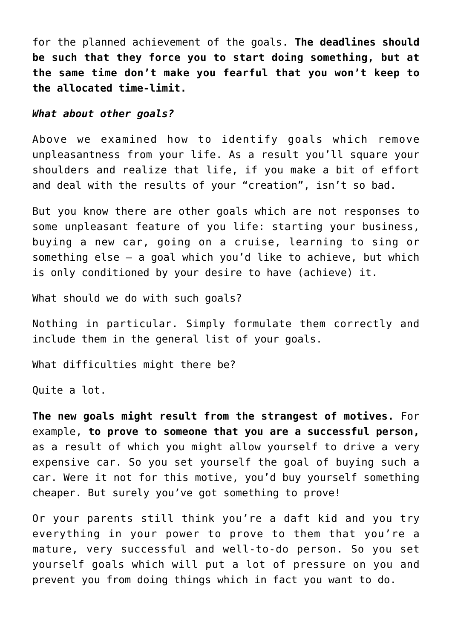for the planned achievement of the goals. **The deadlines should be such that they force you to start doing something, but at the same time don't make you fearful that you won't keep to the allocated time-limit.**

#### *What about other goals?*

Above we examined how to identify goals which remove unpleasantness from your life. As a result you'll square your shoulders and realize that life, if you make a bit of effort and deal with the results of your "creation", isn't so bad.

But you know there are other goals which are not responses to some unpleasant feature of you life: starting your business, buying a new car, going on a cruise, learning to sing or something else – a goal which you'd like to achieve, but which is only conditioned by your desire to have (achieve) it.

What should we do with such goals?

Nothing in particular. Simply formulate them correctly and include them in the general list of your goals.

What difficulties might there be?

Quite a lot.

**The new goals might result from the strangest of motives.** For example, **to prove to someone that you are a successful person,** as a result of which you might allow yourself to drive a very expensive car. So you set yourself the goal of buying such a car. Were it not for this motive, you'd buy yourself something cheaper. But surely you've got something to prove!

Or your parents still think you're a daft kid and you try everything in your power to prove to them that you're a mature, very successful and well-to-do person. So you set yourself goals which will put a lot of pressure on you and prevent you from doing things which in fact you want to do.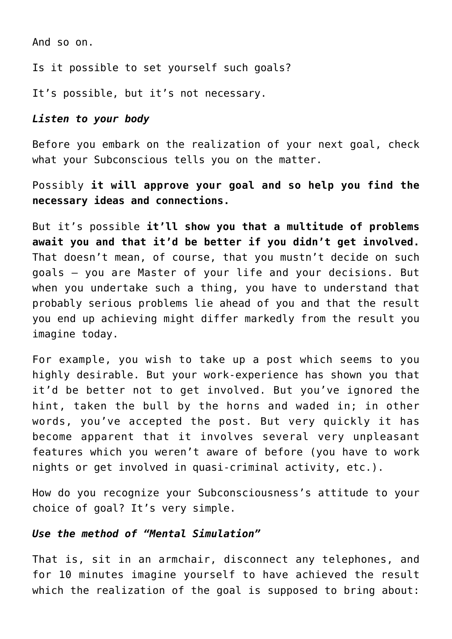And so on.

Is it possible to set yourself such goals?

It's possible, but it's not necessary.

## *Listen to your body*

Before you embark on the realization of your next goal, check what your Subconscious tells you on the matter.

Possibly **it will approve your goal and so help you find the necessary ideas and connections.**

But it's possible **it'll show you that a multitude of problems await you and that it'd be better if you didn't get involved.** That doesn't mean, of course, that you mustn't decide on such goals – you are Master of your life and your decisions. But when you undertake such a thing, you have to understand that probably serious problems lie ahead of you and that the result you end up achieving might differ markedly from the result you imagine today.

For example, you wish to take up a post which seems to you highly desirable. But your work-experience has shown you that it'd be better not to get involved. But you've ignored the hint, taken the bull by the horns and waded in; in other words, you've accepted the post. But very quickly it has become apparent that it involves several very unpleasant features which you weren't aware of before (you have to work nights or get involved in quasi-criminal activity, etc.).

How do you recognize your Subconsciousness's attitude to your choice of goal? It's very simple.

## *Use the method of "Mental Simulation"*

That is, sit in an armchair, disconnect any telephones, and for 10 minutes imagine yourself to have achieved the result which the realization of the goal is supposed to bring about: